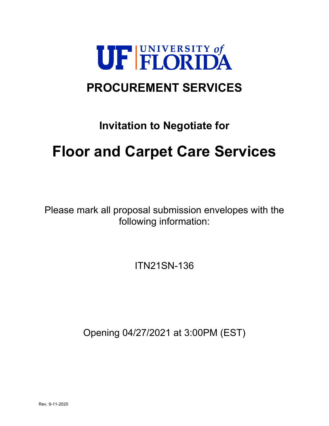

## **PROCUREMENT SERVICES**

## **Invitation to Negotiate for**

# **Floor and Carpet Care Services**

Please mark all proposal submission envelopes with the following information:

ITN21SN-136

Opening 04/27/2021 at 3:00PM (EST)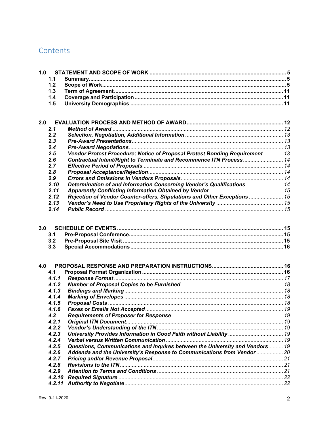### Contents

| 1.0 |        |                                                                              |  |
|-----|--------|------------------------------------------------------------------------------|--|
|     | 1.1    |                                                                              |  |
|     | 1.2    |                                                                              |  |
|     | 1.3    |                                                                              |  |
|     | 1.4    |                                                                              |  |
|     | 1.5    |                                                                              |  |
|     |        |                                                                              |  |
|     |        |                                                                              |  |
| 2.0 |        |                                                                              |  |
|     | 2.1    |                                                                              |  |
|     | 2.2    |                                                                              |  |
|     | 2.3    |                                                                              |  |
|     | 2.4    |                                                                              |  |
|     | 2.5    | Vendor Protest Procedure; Notice of Proposal Protest Bonding Requirement  13 |  |
|     | 2.6    | Contractual Intent/Right to Terminate and Recommence ITN Process 14          |  |
|     | 2.7    |                                                                              |  |
|     | 2.8    |                                                                              |  |
|     | 2.9    |                                                                              |  |
|     | 2.10   | Determination of and Information Concerning Vendor's Qualifications  14      |  |
|     | 2.11   |                                                                              |  |
|     | 2.12   | Rejection of Vendor Counter-offers, Stipulations and Other Exceptions  15    |  |
|     | 2.13   |                                                                              |  |
|     | 2.14   |                                                                              |  |
|     |        |                                                                              |  |
|     |        |                                                                              |  |
| 3.0 |        |                                                                              |  |
|     | 3.1    |                                                                              |  |
|     | 3.2    |                                                                              |  |
|     | 3.3    |                                                                              |  |
|     |        |                                                                              |  |
| 4.0 |        |                                                                              |  |
|     | 4.1    |                                                                              |  |
|     | 4.1.1  |                                                                              |  |
|     | 4.1.2  |                                                                              |  |
|     | 4.1.3  |                                                                              |  |
|     | 4.1.4  |                                                                              |  |
|     | 4.1.5  |                                                                              |  |
|     | 4.1.6  |                                                                              |  |
|     | 4.2    |                                                                              |  |
|     | 4.2.1  |                                                                              |  |
|     | 4.2.2  |                                                                              |  |
|     | 4.2.3  | University Provides Information in Good Faith without Liability  19          |  |
|     | 4.2.4  |                                                                              |  |
|     | 4.2.5  | Questions, Communications and Inquires between the University and Vendors 19 |  |
|     | 4.2.6  | Addenda and the University's Response to Communications from Vendor  20      |  |
|     | 4.2.7  |                                                                              |  |
|     | 4.2.8  |                                                                              |  |
|     | 4.2.9  |                                                                              |  |
|     | 4.2.10 |                                                                              |  |
|     | 4.2.11 |                                                                              |  |
|     |        |                                                                              |  |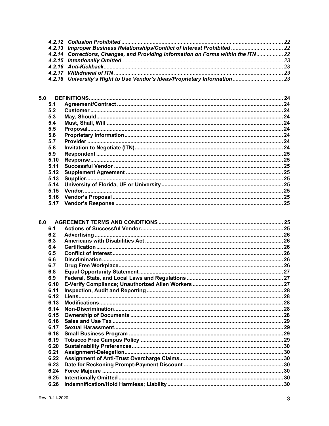| 4.2.14 Corrections, Changes, and Providing Information on Forms within the ITN 22 |  |
|-----------------------------------------------------------------------------------|--|
|                                                                                   |  |
|                                                                                   |  |
|                                                                                   |  |
|                                                                                   |  |
|                                                                                   |  |

| 5.0  |  |
|------|--|
| 5.1  |  |
| 5.2  |  |
| 5.3  |  |
| 5.4  |  |
| 5.5  |  |
| 5.6  |  |
| 5.7  |  |
| 5.8  |  |
| 5.9  |  |
| 5.10 |  |
| 5.11 |  |
| 5.12 |  |
| 5.13 |  |
| 5.14 |  |
| 5.15 |  |
| 5.16 |  |
| 5.17 |  |
|      |  |

| 6.0  |  |
|------|--|
| 6.1  |  |
| 6.2  |  |
| 6.3  |  |
| 6.4  |  |
| 6.5  |  |
| 6.6  |  |
| 6.7  |  |
| 6.8  |  |
| 6.9  |  |
| 6.10 |  |
| 6.11 |  |
| 6.12 |  |
| 6.13 |  |
| 6.14 |  |
| 6.15 |  |
| 6.16 |  |
| 6.17 |  |
| 6.18 |  |
| 6.19 |  |
| 6.20 |  |
| 6.21 |  |
| 6.22 |  |
| 6.23 |  |
| 6.24 |  |
| 6.25 |  |
| 6.26 |  |
|      |  |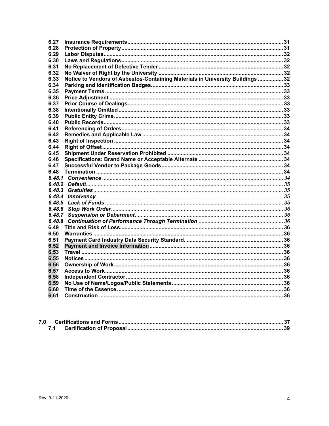| Notice to Vendors of Asbestos-Containing Materials in University Buildings  32<br>6.48.3<br>6.48.4<br>6.48.5<br>6.48.6<br>6.48.7<br>6.48.8 |
|--------------------------------------------------------------------------------------------------------------------------------------------|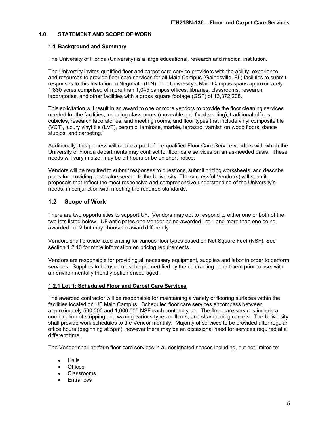#### **1.0 STATEMENT AND SCOPE OF WORK**

#### **1.1 Background and Summary**

The University of Florida (University) is a large educational, research and medical institution.

The University invites qualified floor and carpet care service providers with the ability, experience, and resources to provide floor care services for all Main Campus (Gainesville, FL) facilities to submit responses to this Invitation to Negotiate (ITN). The University's Main Campus spans approximately 1,830 acres comprised of more than 1,045 campus offices, libraries, classrooms, research laboratories, and other facilities with a gross square footage (GSF) of 13,372,208.

This solicitation will result in an award to one or more vendors to provide the floor cleaning services needed for the facilities, including classrooms (moveable and fixed seating), traditional offices, cubicles, research laboratories, and meeting rooms; and floor types that include vinyl composite tile (VCT), luxury vinyl tile (LVT), ceramic, laminate, marble, terrazzo, varnish on wood floors, dance studios, and carpeting.

Additionally, this process will create a pool of pre-qualified Floor Care Service vendors with which the University of Florida departments may contract for floor care services on an as-needed basis. These needs will vary in size, may be off hours or be on short notice.

Vendors will be required to submit responses to questions, submit pricing worksheets, and describe plans for providing best value service to the University. The successful Vendor(s) will submit proposals that reflect the most responsive and comprehensive understanding of the University's needs, in conjunction with meeting the required standards.

#### **1.2 Scope of Work**

There are two opportunities to support UF. Vendors may opt to respond to either one or both of the two lots listed below. UF anticipates one Vendor being awarded Lot 1 and more than one being awarded Lot 2 but may choose to award differently.

Vendors shall provide fixed pricing for various floor types based on Net Square Feet (NSF). See section 1.2.10 for more information on pricing requirements.

Vendors are responsible for providing all necessary equipment, supplies and labor in order to perform services. Supplies to be used must be pre-certified by the contracting department prior to use, with an environmentally friendly option encouraged.

#### **1.2.1 Lot 1: Scheduled Floor and Carpet Care Services**

The awarded contractor will be responsible for maintaining a variety of flooring surfaces within the facilities located on UF Main Campus. Scheduled floor care services encompass between approximately 500,000 and 1,000,000 NSF each contract year. The floor care services include a combination of stripping and waxing various types or floors, and shampooing carpets. The University shall provide work schedules to the Vendor monthly. Majority of services to be provided after regular office hours (beginning at 5pm), however there may be an occasional need for services required at a different time.

The Vendor shall perform floor care services in all designated spaces including, but not limited to:

- **Halls**
- Offices
- Classrooms
- Entrances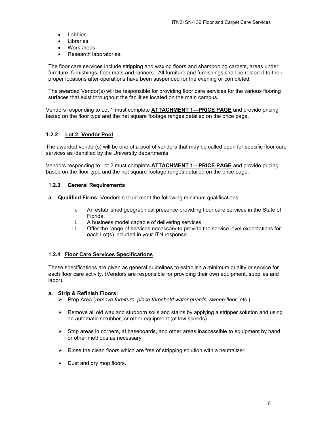- Lobbies
- Libraries
- Work areas
- Research laboratories.

The floor care services include stripping and waxing floors and shampooing carpets, areas under furniture, furnishings, floor mats and runners. All furniture and furnishings shall be restored to their proper locations after operations have been suspended for the evening or completed.

The awarded Vendor(s) will be responsible for providing floor care services for the various flooring surfaces that exist throughout the facilities located on the main campus.

Vendors responding to Lot 1 must complete **ATTACHMENT 1—PRICE PAGE** and provide pricing based on the floor type and the net square footage ranges detailed on the price page.

#### **1.2.2 Lot 2: Vendor Pool**

The awarded vendor(s) will be one of a pool of vendors that may be called upon for specific floor care services as identified by the University departments.

Vendors responding to Lot 2 must complete **ATTACHMENT 1—PRICE PAGE** and provide pricing based on the floor type and the net square footage ranges detailed on the price page.

#### **1.2.3 General Requirements**

- **a. Qualified Firms:** Vendors should meet the following minimum qualifications:
	- i. An established geographical presence providing floor care services in the State of Florida.
	- ii. A business model capable of delivering services.
	- iii. Offer the range of services necessary to provide the service level expectations for each Lot(s) included in your ITN response.

#### **1.2.4 Floor Care Services Specifications**

These specifications are given as general guidelines to establish a minimum quality or service for each floor care activity. (Vendors are responsible for providing their own equipment, supplies and labor).

#### **a. Strip & Refinish Floors:**

- Prep Area (*remove furniture, place threshold water guards, sweep floor, etc.*)
- $\triangleright$  Remove all old wax and stubborn soils and stains by applying a stripper solution and using an automatic scrubber, or other equipment (at low speeds).
- $\triangleright$  Strip areas in corners, at baseboards, and other areas inaccessible to equipment by hand or other methods as necessary.
- $\triangleright$  Rinse the clean floors which are free of stripping solution with a neutralizer.
- $\triangleright$  Dust and dry mop floors.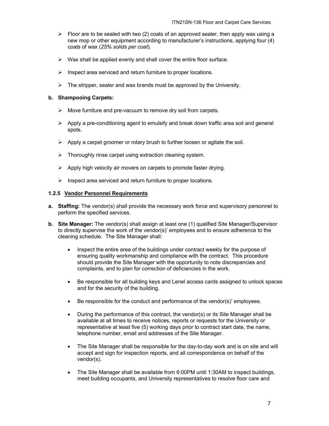- $\triangleright$  Floor are to be sealed with two (2) coats of an approved sealer, then apply wax using a new mop or other equipment according to manufacturer's instructions, applying four (4) coats of wax (*25% solids per coat*).
- $\triangleright$  Wax shall be applied evenly and shall cover the entire floor surface.
- $\triangleright$  Inspect area serviced and return furniture to proper locations.
- $\triangleright$  The stripper, sealer and wax brands must be approved by the University.

#### **b. Shampooing Carpets:**

- $\triangleright$  Move furniture and pre-vacuum to remove dry soil from carpets.
- $\triangleright$  Apply a pre-conditioning agent to emulsify and break down traffic area soil and general spots.
- $\triangleright$  Apply a carpet groomer or rotary brush to further loosen or agitate the soil.
- $\triangleright$  Thoroughly rinse carpet using extraction cleaning system.
- $\triangleright$  Apply high velocity air movers on carpets to promote faster drying.
- $\triangleright$  Inspect area serviced and return furniture to proper locations.

#### **1.2.5 Vendor Personnel Requirements**

- **a. Staffing:** The vendor(s) shall provide the necessary work force and supervisory personnel to perform the specified services.
- **b. Site Manager:** The vendor(s) shall assign at least one (1) qualified Site Manager/Supervisor to directly supervise the work of the vendor(s)' employees and to ensure adherence to the cleaning schedule. The Site Manager shall:
	- Inspect the entire area of the buildings under contract weekly for the purpose of ensuring quality workmanship and compliance with the contract. This procedure should provide the Site Manager with the opportunity to note discrepancies and complaints, and to plan for correction of deficiencies in the work.
	- Be responsible for all building keys and Lenel access cards assigned to unlock spaces and for the security of the building.
	- Be responsible for the conduct and performance of the vendor(s)' employees.
	- During the performance of this contract, the vendor(s) or its Site Manager shall be available at all times to receive notices, reports or requests for the University or representative at least five (5) working days prior to contract start date, the name, telephone number, email and addresses of the Site Manager.
	- The Site Manager shall be responsible for the day-to-day work and is on site and will accept and sign for inspection reports, and all correspondence on behalf of the vendor(s).
	- The Site Manager shall be available from 6:00PM until 1:30AM to inspect buildings, meet building occupants, and University representatives to resolve floor care and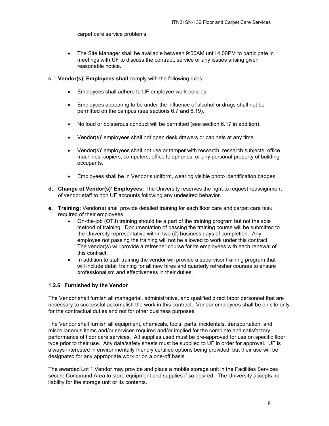carpet care service problems.

- The Site Manager shall be available between 9:00AM until 4:00PM to participate in meetings with UF to discuss the contract, service or any issues arising given reasonable notice.
- **c. Vendor(s)' Employees shall** comply with the following rules:
	- Employees shall adhere to UF employee work policies
	- Employees appearing to be under the influence of alcohol or drugs shall not be permitted on the campus (see sections 6.7 and 6.19).
	- No loud or boisterous conduct will be permitted (see section 6.17 in addition).
	- Vendor(s)' employees shall not open desk drawers or cabinets at any time.
	- Vendor(s)' employees shall not use or tamper with research, research subjects, office machines, copiers, computers, office telephones, or any personal property of building occupants.
	- Employees shall be in Vendor's uniform, wearing visible photo identification badges.
- **d. Change of Vendor(s)' Employees:** The University reserves the right to request reassignment of vendor staff to non UF accounts following any undesired behavior.
- **e. Training:** Vendor(s) shall provide detailed training for each floor care and carpet care task required of their employees.
	- On-the-job (OTJ) training should be a part of the training program but not the sole method of training. Documentation of passing the training course will be submitted to the University representative within two (2) business days of completion. Any employee not passing the training will not be allowed to work under this contract. The vendor(s) will provide a refresher course for its employees with each renewal of this contract.
	- In addition to staff training the vendor will provide a supervisor training program that will include detail training for all new hires and quarterly refresher courses to ensure professionalism and effectiveness in their duties.

#### **1.2.6 Furnished by the Vendor**

The Vendor shall furnish all managerial, administrative, and qualified direct labor personnel that are necessary to successful accomplish the work in this contract. Vendor employees shall be on site only for the contractual duties and not for other business purposes.

The Vendor shall furnish all equipment, chemicals, tools, parts, incidentals, transportation, and miscellaneous items and/or services required and/or implied for the complete and satisfactory performance of floor care services. All supplies used must be pre-approved for use on specific floor type prior to their use. Any data/safety sheets must be supplied to UF in order for approval. UF is always interested in environmentally friendly certified options being provided, but their use will be designated for any appropriate work or on a one-off basis.

The awarded Lot 1 Vendor may provide and place a mobile storage unit in the Facilities Services secure Compound Area to store equipment and supplies if so desired. The University accepts no liability for the storage unit or its contents.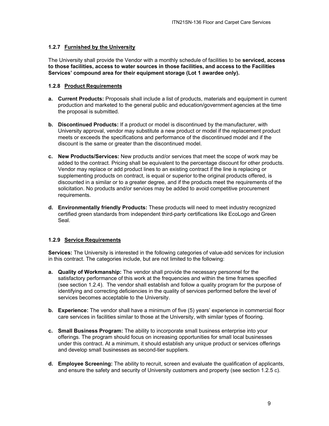#### **1.2.7 Furnished by the University**

The University shall provide the Vendor with a monthly schedule of facilities to be **serviced, access to those facilities, access to water sources in those facilities, and access to the Facilities Services' compound area for their equipment storage (Lot 1 awardee only).** 

#### **1.2.8 Product Requirements**

- **a. Current Products:** Proposals shall include a list of products, materials and equipment in current production and marketed to the general public and education/government agencies at the time the proposal is submitted.
- **b. Discontinued Products:** If a product or model is discontinued by the manufacturer, with University approval, vendor may substitute a new product or model if the replacement product meets or exceeds the specifications and performance of the discontinued model and if the discount is the same or greater than the discontinued model.
- **c. New Products/Services:** New products and/or services that meet the scope of work may be added to the contract. Pricing shall be equivalent to the percentage discount for other products. Vendor may replace or add product lines to an existing contract if the line is replacing or supplementing products on contract, is equal or superior to the original products offered, is discounted in a similar or to a greater degree, and if the products meet the requirements of the solicitation. No products and/or services may be added to avoid competitive procurement requirements.
- **d. Environmentally friendly Products:** These products will need to meet industry recognized certified green standards from independent third-party certifications like EcoLogo and Green Seal.

#### **1.2.9 Service Requirements**

**Services:** The University is interested in the following categories of value-add services for inclusion in this contract. The categories include, but are not limited to the following:

- **a. Quality of Workmanship:** The vendor shall provide the necessary personnel for the satisfactory performance of this work at the frequencies and within the time frames specified (see section 1.2.4). The vendor shall establish and follow a quality program for the purpose of identifying and correcting deficiencies in the quality of services performed before the level of services becomes acceptable to the University.
- **b. Experience:** The vendor shall have a minimum of five (5) years' experience in commercial floor care services in facilities similar to those at the University, with similar types of flooring.
- **c. Small Business Program:** The ability to incorporate small business enterprise into your offerings. The program should focus on increasing opportunities for small local businesses under this contract. At a minimum, it should establish any unique product or services offerings and develop small businesses as second-tier suppliers.
- **d. Employee Screening:** The ability to recruit, screen and evaluate the qualification of applicants, and ensure the safety and security of University customers and property (see section 1.2.5 c).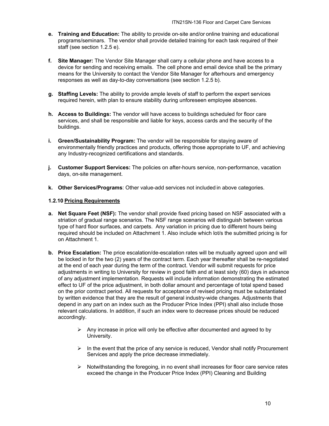- **e. Training and Education:** The ability to provide on-site and/or online training and educational programs/seminars. The vendor shall provide detailed training for each task required of their staff (see section 1.2.5 e).
- **f. Site Manager:** The Vendor Site Manager shall carry a cellular phone and have access to a device for sending and receiving emails. The cell phone and email device shall be the primary means for the University to contact the Vendor Site Manager for afterhours and emergency responses as well as day-to-day conversations (see section 1.2.5 b).
- **g. Staffing Levels:** The ability to provide ample levels of staff to perform the expert services required herein, with plan to ensure stability during unforeseen employee absences.
- **h. Access to Buildings:** The vendor will have access to buildings scheduled for floor care services, and shall be responsible and liable for keys, access cards and the security of the buildings.
- **i. Green/Sustainability Program:** The vendor will be responsible for staying aware of environmentally friendly practices and products, offering those appropriate to UF, and achieving any Industry-recognized certifications and standards.
- **j. Customer Support Services:** The policies on after-hours service, non-performance, vacation days, on-site management.
- **k. Other Services/Programs**: Other value-add services not included in above categories.

#### **1.2.10 Pricing Requirements**

- **a. Net Square Feet (NSF):** The vendor shall provide fixed pricing based on NSF associated with a striation of gradual range scenarios. The NSF range scenarios will distinguish between various type of hard floor surfaces, and carpets. Any variation in pricing due to different hours being required should be included on Attachment 1. Also include which lot/s the submitted pricing is for on Attachment 1.
- **b. Price Escalation:** The price escalation/de-escalation rates will be mutually agreed upon and will be locked in for the two (2) years of the contract term. Each year thereafter shall be re-negotiated at the end of each year during the term of the contract. Vendor will submit requests for price adjustments in writing to University for review in good faith and at least sixty (60) days in advance of any adjustment implementation. Requests will include information demonstrating the estimated effect to UF of the price adjustment, in both dollar amount and percentage of total spend based on the prior contract period. All requests for acceptance of revised pricing must be substantiated by written evidence that they are the result of general industry-wide changes. Adjustments that depend in any part on an index such as the Producer Price Index (PPI) shall also include those relevant calculations. In addition, if such an index were to decrease prices should be reduced accordingly.
	- $\triangleright$  Any increase in price will only be effective after documented and agreed to by University.
	- $\triangleright$  In the event that the price of any service is reduced, Vendor shall notify Procurement Services and apply the price decrease immediately.
	- $\triangleright$  Notwithstanding the foregoing, in no event shall increases for floor care service rates exceed the change in the Producer Price Index (PPI) Cleaning and Building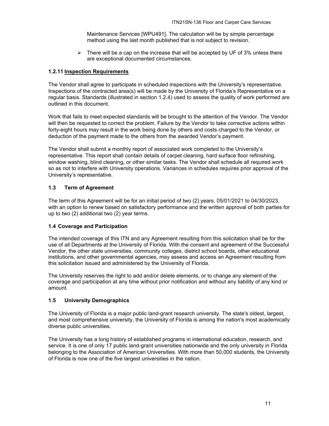Maintenance Services [WPU491]. The calculation will be by simple percentage method using the last month published that is not subject to revision.

 $\triangleright$  There will be a cap on the increase that will be accepted by UF of 3% unless there are exceptional documented circumstances.

#### **1.2.11 Inspection Requirements**

The Vendor shall agree to participate in scheduled inspections with the University's representative. Inspections of the contracted area(s) will be made by the University of Florida's Representative on a regular basis. Standards (illustrated in section 1.2.4) used to assess the quality of work performed are outlined in this document.

Work that fails to meet expected standards will be brought to the attention of the Vendor. The Vendor will then be requested to correct the problem. Failure by the Vendor to take corrective actions within forty-eight hours may result in the work being done by others and costs charged to the Vendor, or deduction of the payment made to the others from the awarded Vendor's payment.

The Vendor shall submit a monthly report of associated work completed to the University's representative. This report shall contain details of carpet cleaning, hard surface floor refinishing, window washing, blind cleaning, or other similar tasks. The Vendor shall schedule all required work so as not to interfere with University operations. Variances in schedules requires prior approval of the University's representative.

#### **1.3 Term of Agreement**

The term of this Agreement will be for an initial period of two (2) years, 05/01/2021 to 04/30/2023, with an option to renew based on satisfactory performance and the written approval of both parties for up to two (2) additional two (2) year terms.

#### **1.4 Coverage and Participation**

The intended coverage of this ITN and any Agreement resulting from this solicitation shall be for the use of all Departments at the University of Florida. With the consent and agreement of the Successful Vendor, the other state universities, community colleges, district school boards, other educational institutions, and other governmental agencies, may assess and access an Agreement resulting from this solicitation issued and administered by the University of Florida.

The University reserves the right to add and/or delete elements, or to change any element of the coverage and participation at any time without prior notification and without any liability of any kind or amount.

#### **1.5 University Demographics**

The University of Florida is a major public land-grant research university. The state's oldest, largest, and most comprehensive university, the University of Florida is among the nation's most academically diverse public universities.

The University has a long history of established programs in international education, research, and service. It is one of only 17 public land-grant universities nationwide and the only university in Florida belonging to the Association of American Universities. With more than 50,000 students, the University of Florida is now one of the five largest universities in the nation.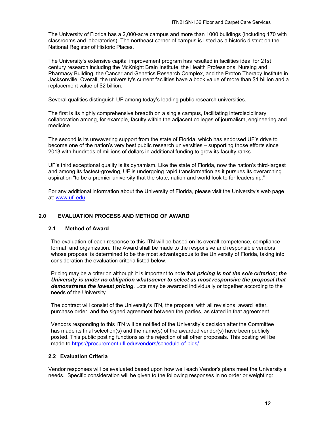The University of Florida has a 2,000-acre campus and more than 1000 buildings (including 170 with classrooms and laboratories). The northeast corner of campus is listed as a historic district on the National Register of Historic Places.

The University's extensive capital improvement program has resulted in facilities ideal for 21st century research including the McKnight Brain Institute, the Health Professions, Nursing and Pharmacy Building, the Cancer and Genetics Research Complex, and the Proton Therapy Institute in Jacksonville. Overall, the university's current facilities have a book value of more than \$1 billion and a replacement value of \$2 billion.

Several qualities distinguish UF among today's leading public research universities.

The first is its highly comprehensive breadth on a single campus, facilitating interdisciplinary collaboration among, for example, faculty within the adjacent colleges of journalism, engineering and medicine.

The second is its unwavering support from the state of Florida, which has endorsed UF's drive to become one of the nation's very best public research universities – supporting those efforts since 2013 with hundreds of millions of dollars in additional funding to grow its faculty ranks.

UF's third exceptional quality is its dynamism. Like the state of Florida, now the nation's third-largest and among its fastest-growing, UF is undergoing rapid transformation as it pursues its overarching aspiration "to be a premier university that the state, nation and world look to for leadership."

For any additional information about the University of Florida, please visit the University's web page at: www.ufl.edu.

#### **2.0 EVALUATION PROCESS AND METHOD OF AWARD**

#### **2.1 Method of Award**

The evaluation of each response to this ITN will be based on its overall competence, compliance, format, and organization. The Award shall be made to the responsive and responsible vendors whose proposal is determined to be the most advantageous to the University of Florida, taking into consideration the evaluation criteria listed below.

Pricing may be a criterion although it is important to note that *pricing is not the sole criterion*; *the University is under no obligation whatsoever to select as most responsive the proposal that demonstrates the lowest pricing*. Lots may be awarded individually or together according to the needs of the University.

The contract will consist of the University's ITN, the proposal with all revisions, award letter, purchase order, and the signed agreement between the parties, as stated in that agreement.

Vendors responding to this ITN will be notified of the University's decision after the Committee has made its final selection(s) and the name(s) of the awarded vendor(s) have been publicly posted. This public posting functions as the rejection of all other proposals. This posting will be made to https://procurement.ufl.edu/vendors/schedule-of-bids/ .

#### **2.2 Evaluation Criteria**

Vendor responses will be evaluated based upon how well each Vendor's plans meet the University's needs. Specific consideration will be given to the following responses in no order or weighting: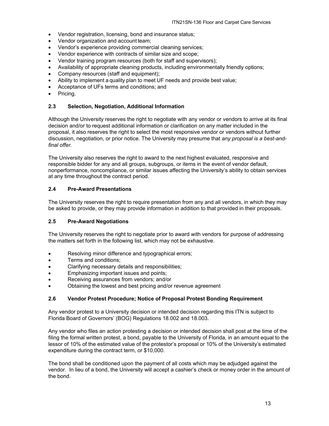- Vendor registration, licensing, bond and insurance status;
- Vendor organization and account team;
- Vendor's experience providing commercial cleaning services;
- Vendor experience with contracts of similar size and scope;
- Vendor training program resources (both for staff and supervisors);
- Availability of appropriate cleaning products, including environmentally friendly options;
- Company resources (staff and equipment);
- Ability to implement a quality plan to meet UF needs and provide best value;
- Acceptance of UFs terms and conditions; and
- Pricing.

#### **2.3 Selection, Negotiation, Additional Information**

Although the University reserves the right to negotiate with any vendor or vendors to arrive at its final decision and/or to request additional information or clarification on any matter included in the proposal, it also reserves the right to select the most responsive vendor or vendors without further discussion, negotiation, or prior notice. The University may presume that *any proposal is a best-andfinal offer.* 

The University also reserves the right to award to the next highest evaluated, responsive and responsible bidder for any and all groups, subgroups, or items in the event of vendor default, nonperformance, noncompliance, or similar issues affecting the University's ability to obtain services at any time throughout the contract period.

#### **2.4 Pre-Award Presentations**

The University reserves the right to require presentation from any and all vendors, in which they may be asked to provide, or they may provide information in addition to that provided in their proposals.

#### **2.5 Pre-Award Negotiations**

The University reserves the right to negotiate prior to award with vendors for purpose of addressing the matters set forth in the following list, which may not be exhaustive.

- Resolving minor difference and typographical errors;
- Terms and conditions;
- Clarifying necessary details and responsibilities;
- Emphasizing important issues and points;
- Receiving assurances from vendors; and/or
- Obtaining the lowest and best pricing and/or revenue agreement

#### **2.6 Vendor Protest Procedure; Notice of Proposal Protest Bonding Requirement**

Any vendor protest to a University decision or intended decision regarding this ITN is subject to Florida Board of Governors' (BOG) Regulations 18.002 and 18.003.

Any vendor who files an action protesting a decision or intended decision shall post at the time of the filing the formal written protest, a bond, payable to the University of Florida, in an amount equal to the lessor of 10% of the estimated value of the protestor's proposal or 10% of the University's estimated expenditure during the contract term, or \$10,000.

The bond shall be conditioned upon the payment of all costs which may be adjudged against the vendor. In lieu of a bond, the University will accept a cashier's check or money order in the amount of the bond.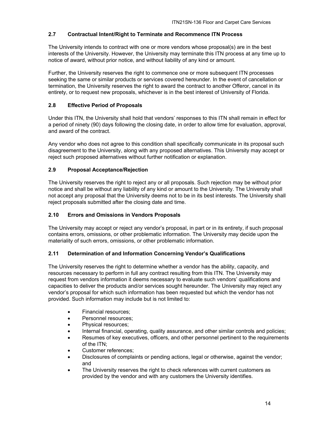#### **2.7 Contractual Intent/Right to Terminate and Recommence ITN Process**

The University intends to contract with one or more vendors whose proposal(s) are in the best interests of the University. However, the University may terminate this ITN process at any time up to notice of award, without prior notice, and without liability of any kind or amount.

Further, the University reserves the right to commence one or more subsequent ITN processes seeking the same or similar products or services covered hereunder. In the event of cancellation or termination, the University reserves the right to award the contract to another Offeror, cancel in its entirety, or to request new proposals, whichever is in the best interest of University of Florida.

#### **2.8 Effective Period of Proposals**

Under this ITN, the University shall hold that vendors' responses to this ITN shall remain in effect for a period of ninety (90) days following the closing date, in order to allow time for evaluation, approval, and award of the contract.

Any vendor who does not agree to this condition shall specifically communicate in its proposal such disagreement to the University, along with any proposed alternatives. This University may accept or reject such proposed alternatives without further notification or explanation.

#### **2.9 Proposal Acceptance/Rejection**

The University reserves the right to reject any or all proposals. Such rejection may be without prior notice and shall be without any liability of any kind or amount to the University. The University shall not accept any proposal that the University deems not to be in its best interests. The University shall reject proposals submitted after the closing date and time.

#### **2.10 Errors and Omissions in Vendors Proposals**

The University may accept or reject any vendor's proposal, in part or in its entirety, if such proposal contains errors, omissions, or other problematic information. The University may decide upon the materiality of such errors, omissions, or other problematic information.

#### **2.11 Determination of and Information Concerning Vendor's Qualifications**

The University reserves the right to determine whether a vendor has the ability, capacity, and resources necessary to perform in full any contract resulting from this ITN. The University may request from vendors information it deems necessary to evaluate such vendors' qualifications and capacities to deliver the products and/or services sought hereunder. The University may reject any vendor's proposal for which such information has been requested but which the vendor has not provided. Such information may include but is not limited to:

- Financial resources;
- Personnel resources;
- Physical resources;
- Internal financial, operating, quality assurance, and other similar controls and policies;
- Resumes of key executives, officers, and other personnel pertinent to the requirements of the ITN;
- Customer references;
- Disclosures of complaints or pending actions, legal or otherwise, against the vendor; and
- The University reserves the right to check references with current customers as provided by the vendor and with any customers the University identifies.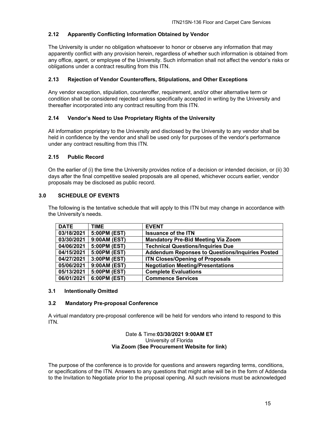#### **2.12 Apparently Conflicting Information Obtained by Vendor**

The University is under no obligation whatsoever to honor or observe any information that may apparently conflict with any provision herein, regardless of whether such information is obtained from any office, agent, or employee of the University. Such information shall not affect the vendor's risks or obligations under a contract resulting from this ITN.

#### **2.13 Rejection of Vendor Counteroffers, Stipulations, and Other Exceptions**

Any vendor exception, stipulation, counteroffer, requirement, and/or other alternative term or condition shall be considered rejected unless specifically accepted in writing by the University and thereafter incorporated into any contract resulting from this ITN.

#### **2.14 Vendor's Need to Use Proprietary Rights of the University**

All information proprietary to the University and disclosed by the University to any vendor shall be held in confidence by the vendor and shall be used only for purposes of the vendor's performance under any contract resulting from this ITN.

#### **2.15 Public Record**

On the earlier of (i) the time the University provides notice of a decision or intended decision, or (ii) 30 days after the final competitive sealed proposals are all opened, whichever occurs earlier, vendor proposals may be disclosed as public record.

#### **3.0 SCHEDULE OF EVENTS**

The following is the tentative schedule that will apply to this ITN but may change in accordance with the University's needs.

| <b>DATE</b> | <b>TIME</b>  | <b>EVENT</b>                                           |
|-------------|--------------|--------------------------------------------------------|
| 03/18/2021  | 5:00PM (EST) | <b>Issuance of the ITN</b>                             |
| 03/30/2021  | 9:00AM (EST) | <b>Mandatory Pre-Bid Meeting Via Zoom</b>              |
| 04/06/2021  | 5:00PM (EST) | <b>Technical Questions/Inquiries Due</b>               |
| 04/15/2021  | 5:00PM (EST) | <b>Addendum Reponses to Questions/Inquiries Posted</b> |
| 04/27/2021  | 3:00PM (EST) | <b>ITN Closes/Opening of Proposals</b>                 |
| 05/06/2021  | 9:00AM (EST) | <b>Negotiation Meeting/Presentations</b>               |
| 05/13/2021  | 5:00PM (EST) | <b>Complete Evaluations</b>                            |
| 06/01/2021  | 6:00PM (EST) | <b>Commence Services</b>                               |

#### **3.1 Intentionally Omitted**

#### **3.2 Mandatory Pre-proposal Conference**

A virtual mandatory pre-proposal conference will be held for vendors who intend to respond to this ITN.

#### Date & Time:**03/30/2021 9:00AM ET** University of Florida **Via Zoom (See Procurement Website for link)**

The purpose of the conference is to provide for questions and answers regarding terms, conditions, or specifications of the ITN. Answers to any questions that might arise will be in the form of Addenda to the Invitation to Negotiate prior to the proposal opening. All such revisions must be acknowledged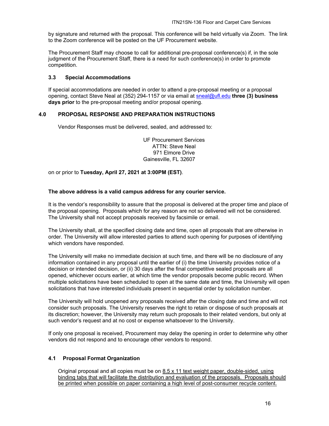by signature and returned with the proposal. This conference will be held virtually via Zoom. The link to the Zoom conference will be posted on the UF Procurement website.

The Procurement Staff may choose to call for additional pre-proposal conference(s) if, in the sole judgment of the Procurement Staff, there is a need for such conference(s) in order to promote competition.

#### **3.3 Special Accommodations**

If special accommodations are needed in order to attend a pre-proposal meeting or a proposal opening, contact Steve Neal at (352) 294-1157 or via email at sneal@ufl.edu **three (3) business days prior** to the pre-proposal meeting and/or proposal opening.

#### **4.0 PROPOSAL RESPONSE AND PREPARATION INSTRUCTIONS**

Vendor Responses must be delivered, sealed, and addressed to:

UF Procurement Services ATTN: Steve Neal 971 Elmore Drive Gainesville, FL 32607

on or prior to **Tuesday, April 27, 2021 at 3:00PM (EST)**.

#### **The above address is a valid campus address for any courier service.**

It is the vendor's responsibility to assure that the proposal is delivered at the proper time and place of the proposal opening. Proposals which for any reason are not so delivered will not be considered. The University shall not accept proposals received by facsimile or email.

The University shall, at the specified closing date and time, open all proposals that are otherwise in order. The University will allow interested parties to attend such opening for purposes of identifying which vendors have responded.

The University will make no immediate decision at such time, and there will be no disclosure of any information contained in any proposal until the earlier of (i) the time University provides notice of a decision or intended decision, or (ii) 30 days after the final competitive sealed proposals are all opened, whichever occurs earlier, at which time the vendor proposals become public record. When multiple solicitations have been scheduled to open at the same date and time, the University will open solicitations that have interested individuals present in sequential order by solicitation number.

The University will hold unopened any proposals received after the closing date and time and will not consider such proposals. The University reserves the right to retain or dispose of such proposals at its discretion; however, the University may return such proposals to their related vendors, but only at such vendor's request and at no cost or expense whatsoever to the University.

If only one proposal is received, Procurement may delay the opening in order to determine why other vendors did not respond and to encourage other vendors to respond.

#### **4.1 Proposal Format Organization**

Original proposal and all copies must be on 8.5 x 11 text weight paper, double-sided, using binding tabs that will facilitate the distribution and evaluation of the proposals. Proposals should be printed when possible on paper containing a high level of post-consumer recycle content.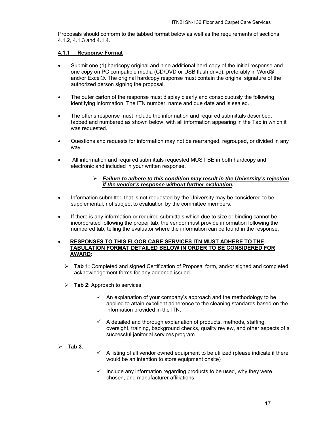Proposals should conform to the tabbed format below as well as the requirements of sections 4.1.2, 4.1.3 and 4.1.4.

#### **4.1.1 Response Format**

- Submit one (1) hardcopy original and nine additional hard copy of the initial response and one copy on PC compatible media (CD/DVD or USB flash drive), preferably in Word® and/or Excel®. The original hardcopy response must contain the original signature of the authorized person signing the proposal.
- The outer carton of the response must display clearly and conspicuously the following identifying information, The ITN number, name and due date and is sealed.
- The offer's response must include the information and required submittals described, tabbed and numbered as shown below, with all information appearing in the Tab in which it was requested.
- Questions and requests for information may not be rearranged, regrouped, or divided in any way.
- All information and required submittals requested MUST BE in both hardcopy and electronic and included in your written response.

#### *Failure to adhere to this condition may result in the University's rejection if the vendor's response without further evaluation.*

- Information submitted that is not requested by the University may be considered to be supplemental, not subject to evaluation by the committee members.
- If there is any information or required submittals which due to size or binding cannot be incorporated following the proper tab, the vendor must provide information following the numbered tab, telling the evaluator where the information can be found in the response.

#### **RESPONSES TO THIS FLOOR CARE SERVICES ITN MUST ADHERE TO THE TABULATION FORMAT DETAILED BELOW IN ORDER TO BE CONSIDERED FOR AWARD:**

- **Tab 1:** Completed and signed Certification of Proposal form, and/or signed and completed acknowledgement forms for any addenda issued.
- **Tab 2**: Approach to services
	- $\checkmark$  An explanation of your company's approach and the methodology to be applied to attain excellent adherence to the cleaning standards based on the information provided in the ITN.
	- $\checkmark$  A detailed and thorough explanation of products, methods, staffing, oversight, training, background checks, quality review, and other aspects of a successful janitorial services program.

#### **Tab 3**:

- $\checkmark$  A listing of all vendor owned equipment to be utilized (please indicate if there would be an intention to store equipment onsite)
- $\checkmark$  Include any information regarding products to be used, why they were chosen, and manufacturer affiliations.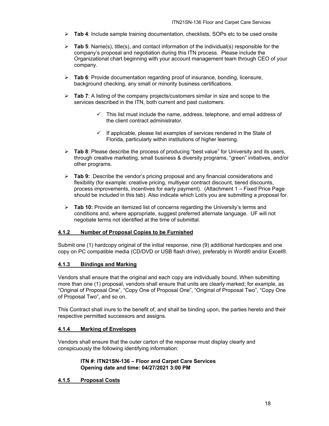- **Tab 4**: Include sample training documentation, checklists, SOPs etc to be used onsite
- **Tab 5**: Name(s), title(s), and contact information of the individual(s) responsible for the company's proposal and negotiation during this ITN process. Please include the Organizational chart beginning with your account management team through CEO of your company.
- **Tab 6**: Provide documentation regarding proof of insurance, bonding, licensure, background checking, any small or minority business certifications.
- **Tab 7**: A listing of the company projects/customers similar in size and scope to the services described in the ITN, both current and past customers.
	- $\checkmark$  This list must include the name, address, telephone, and email address of the client contract administrator.
	- $\checkmark$  If applicable, please list examples of services rendered in the State of Florida, particularly within institutions of higher learning.
- **Tab 8**: Please describe the process of producing "best value" for University and its users, through creative marketing, small business & diversity programs, "green" initiatives, and/or other programs.
- **Tab 9:** Describe the vendor's pricing proposal and any financial considerations and flexibility (for example: creative pricing, multiyear contract discount, tiered discounts, process improvements, incentives for early payment). (Attachment 1 – Fixed Price Page should be included in this tab). Also indicate which Lot/s you are submitting a proposal for.
- **Tab 10:** Provide an itemized list of concerns regarding the University's terms and conditions and, where appropriate, suggest preferred alternate language. UF will not negotiate terms not identified at the time of submittal.

#### **4.1.2 Number of Proposal Copies to be Furnished**

Submit one (1) hardcopy original of the initial response, nine (9) additional hardcopies and one copy on PC compatible media (CD/DVD or USB flash drive), preferably in Word® and/or Excel®.

#### **4.1.3 Bindings and Marking**

Vendors shall ensure that the original and each copy are individually bound. When submitting more than one (1) proposal, vendors shall ensure that units are clearly marked; for example, as "Original of Proposal One", "Copy One of Proposal One", "Original of Proposal Two", "Copy One of Proposal Two", and so on.

This Contract shall inure to the benefit of, and shall be binding upon, the parties hereto and their respective permitted successors and assigns.

#### **4.1.4 Marking of Envelopes**

Vendors shall ensure that the outer carton of the response must display clearly and conspicuously the following identifying information:

#### **ITN #: ITN21SN-136 – Floor and Carpet Care Services Opening date and time: 04/27/2021 3:00 PM**

#### **4.1.5 Proposal Costs**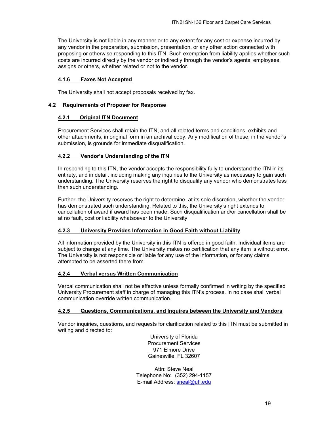The University is not liable in any manner or to any extent for any cost or expense incurred by any vendor in the preparation, submission, presentation, or any other action connected with proposing or otherwise responding to this ITN. Such exemption from liability applies whether such costs are incurred directly by the vendor or indirectly through the vendor's agents, employees, assigns or others, whether related or not to the vendor.

#### **4.1.6 Faxes Not Accepted**

The University shall not accept proposals received by fax.

#### **4.2 Requirements of Proposer for Response**

#### **4.2.1 Original ITN Document**

Procurement Services shall retain the ITN, and all related terms and conditions, exhibits and other attachments, in original form in an archival copy. Any modification of these, in the vendor's submission, is grounds for immediate disqualification.

#### **4.2.2 Vendor's Understanding of the ITN**

In responding to this ITN, the vendor accepts the responsibility fully to understand the ITN in its entirety, and in detail, including making any inquiries to the University as necessary to gain such understanding. The University reserves the right to disqualify any vendor who demonstrates less than such understanding.

Further, the University reserves the right to determine, at its sole discretion, whether the vendor has demonstrated such understanding. Related to this, the University's right extends to cancellation of award if award has been made. Such disqualification and/or cancellation shall be at no fault, cost or liability whatsoever to the University.

#### **4.2.3 University Provides Information in Good Faith without Liability**

All information provided by the University in this ITN is offered in good faith. Individual items are subject to change at any time. The University makes no certification that any item is without error. The University is not responsible or liable for any use of the information, or for any claims attempted to be asserted there from.

#### **4.2.4 Verbal versus Written Communication**

Verbal communication shall not be effective unless formally confirmed in writing by the specified University Procurement staff in charge of managing this ITN's process. In no case shall verbal communication override written communication.

#### **4.2.5 Questions, Communications, and Inquires between the University and Vendors**

Vendor inquiries, questions, and requests for clarification related to this ITN must be submitted in writing and directed to:

> University of Florida Procurement Services 971 Elmore Drive Gainesville, FL 32607

Attn: Steve Neal Telephone No: (352) 294-1157 E-mail Address: sneal@ufl.edu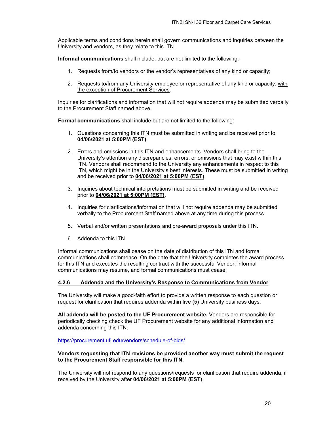Applicable terms and conditions herein shall govern communications and inquiries between the University and vendors, as they relate to this ITN.

**Informal communications** shall include, but are not limited to the following:

- 1. Requests from/to vendors or the vendor's representatives of any kind or capacity;
- 2. Requests to/from any University employee or representative of any kind or capacity, with the exception of Procurement Services.

Inquiries for clarifications and information that will not require addenda may be submitted verbally to the Procurement Staff named above.

**Formal communications** shall include but are not limited to the following:

- 1. Questions concerning this ITN must be submitted in writing and be received prior to **04/06/2021 at 5:00PM (EST)**.
- 2. Errors and omissions in this ITN and enhancements. Vendors shall bring to the University's attention any discrepancies, errors, or omissions that may exist within this ITN. Vendors shall recommend to the University any enhancements in respect to this ITN, which might be in the University's best interests. These must be submitted in writing and be received prior to **04/06/2021 at 5:00PM (EST)**.
- 3. Inquiries about technical interpretations must be submitted in writing and be received prior to **04/06/2021 at 5:00PM (EST)**.
- 4. Inquiries for clarifications/information that will not require addenda may be submitted verbally to the Procurement Staff named above at any time during this process.
- 5. Verbal and/or written presentations and pre-award proposals under this ITN.
- 6. Addenda to this ITN.

Informal communications shall cease on the date of distribution of this ITN and formal communications shall commence. On the date that the University completes the award process for this ITN and executes the resulting contract with the successful Vendor, informal communications may resume, and formal communications must cease.

#### **4.2.6 Addenda and the University's Response to Communications from Vendor**

The University will make a good-faith effort to provide a written response to each question or request for clarification that requires addenda within five (5) University business days.

**All addenda will be posted to the UF Procurement website.** Vendors are responsible for periodically checking check the UF Procurement website for any additional information and addenda concerning this ITN.

https://procurement.ufl.edu/vendors/schedule-of-bids/

#### **Vendors requesting that ITN revisions be provided another way must submit the request to the Procurement Staff responsible for this ITN.**

The University will not respond to any questions/requests for clarification that require addenda, if received by the University after **04/06/2021 at 5:00PM (EST)**.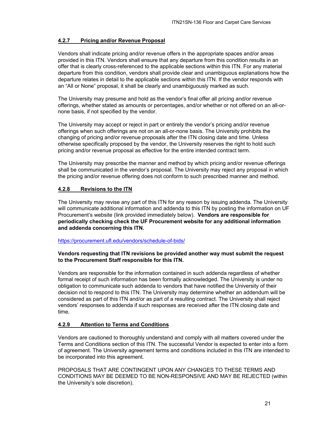#### **4.2.7 Pricing and/or Revenue Proposal**

Vendors shall indicate pricing and/or revenue offers in the appropriate spaces and/or areas provided in this ITN. Vendors shall ensure that any departure from this condition results in an offer that is clearly cross-referenced to the applicable sections within this ITN. For any material departure from this condition, vendors shall provide clear and unambiguous explanations how the departure relates in detail to the applicable sections within this ITN. If the vendor responds with an "All or None" proposal, it shall be clearly and unambiguously marked as such.

The University may presume and hold as the vendor's final offer all pricing and/or revenue offerings, whether stated as amounts or percentages, and/or whether or not offered on an all-ornone basis, if not specified by the vendor.

The University may accept or reject in part or entirely the vendor's pricing and/or revenue offerings when such offerings are not on an all-or-none basis. The University prohibits the changing of pricing and/or revenue proposals after the ITN closing date and time. Unless otherwise specifically proposed by the vendor, the University reserves the right to hold such pricing and/or revenue proposal as effective for the entire intended contract term.

The University may prescribe the manner and method by which pricing and/or revenue offerings shall be communicated in the vendor's proposal. The University may reject any proposal in which the pricing and/or revenue offering does not conform to such prescribed manner and method.

#### **4.2.8 Revisions to the ITN**

The University may revise any part of this ITN for any reason by issuing addenda. The University will communicate additional information and addenda to this ITN by posting the information on UF Procurement's website (link provided immediately below). **Vendors are responsible for periodically checking check the UF Procurement website for any additional information and addenda concerning this ITN.**

#### https://procurement.ufl.edu/vendors/schedule-of-bids/

#### **Vendors requesting that ITN revisions be provided another way must submit the request to the Procurement Staff responsible for this ITN.**

Vendors are responsible for the information contained in such addenda regardless of whether formal receipt of such information has been formally acknowledged. The University is under no obligation to communicate such addenda to vendors that have notified the University of their decision not to respond to this ITN. The University may determine whether an addendum will be considered as part of this ITN and/or as part of a resulting contract. The University shall reject vendors' responses to addenda if such responses are received after the ITN closing date and time.

#### **4.2.9 Attention to Terms and Conditions**

Vendors are cautioned to thoroughly understand and comply with all matters covered under the Terms and Conditions section of this ITN. The successful Vendor is expected to enter into a form of agreement. The University agreement terms and conditions included in this ITN are intended to be incorporated into this agreement.

PROPOSALS THAT ARE CONTINGENT UPON ANY CHANGES TO THESE TERMS AND CONDITIONS MAY BE DEEMED TO BE NON-RESPONSIVE AND MAY BE REJECTED (within the University's sole discretion).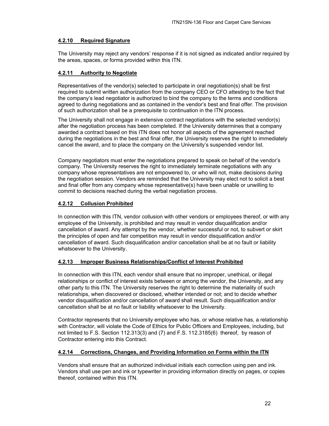#### **4.2.10 Required Signature**

The University may reject any vendors' response if it is not signed as indicated and/or required by the areas, spaces, or forms provided within this ITN.

#### **4.2.11 Authority to Negotiate**

Representatives of the vendor(s) selected to participate in oral negotiation(s) shall be first required to submit written authorization from the company CEO or CFO attesting to the fact that the company's lead negotiator is authorized to bind the company to the terms and conditions agreed to during negotiations and as contained in the vendor's best and final offer. The provision of such authorization shall be a prerequisite to continuation in the ITN process.

The University shall not engage in extensive contract negotiations with the selected vendor(s) after the negotiation process has been completed. If the University determines that a company awarded a contract based on this ITN does not honor all aspects of the agreement reached during the negotiations in the best and final offer, the University reserves the right to immediately cancel the award, and to place the company on the University's suspended vendor list.

Company negotiators must enter the negotiations prepared to speak on behalf of the vendor's company. The University reserves the right to immediately terminate negotiations with any company whose representatives are not empowered to, or who will not, make decisions during the negotiation session. Vendors are reminded that the University may elect not to solicit a best and final offer from any company whose representative(s) have been unable or unwilling to commit to decisions reached during the verbal negotiation process.

#### **4.2.12 Collusion Prohibited**

In connection with this ITN, vendor collusion with other vendors or employees thereof, or with any employee of the University, is prohibited and may result in vendor disqualification and/or cancellation of award. Any attempt by the vendor, whether successful or not, to subvert or skirt the principles of open and fair competition may result in vendor disqualification and/or cancellation of award. Such disqualification and/or cancellation shall be at no fault or liability whatsoever to the University.

#### **4.2.13 Improper Business Relationships/Conflict of Interest Prohibited**

In connection with this ITN, each vendor shall ensure that no improper, unethical, or illegal relationships or conflict of interest exists between or among the vendor, the University, and any other party to this ITN. The University reserves the right to determine the materiality of such relationships, when discovered or disclosed, whether intended or not; and to decide whether vendor disqualification and/or cancellation of award shall result. Such disqualification and/or cancellation shall be at no fault or liability whatsoever to the University.

Contractor represents that no University employee who has, or whose relative has, a relationship with Contractor, will violate the Code of Ethics for Public Officers and Employees, including, but not limited to F.S. Section 112.313(3) and (7) and F.S. 112.3185(6) thereof, by reason of Contractor entering into this Contract.

#### **4.2.14 Corrections, Changes, and Providing Information on Forms within the ITN**

Vendors shall ensure that an authorized individual initials each correction using pen and ink. Vendors shall use pen and ink or typewriter in providing information directly on pages, or copies thereof, contained within this ITN.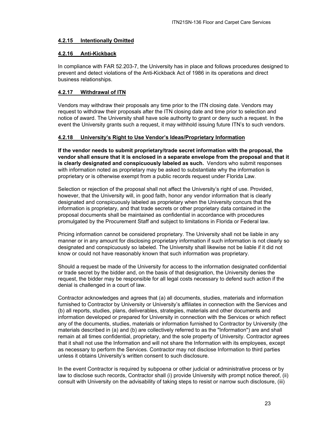#### **4.2.15 Intentionally Omitted**

#### **4.2.16 Anti-Kickback**

In compliance with FAR 52.203-7, the University has in place and follows procedures designed to prevent and detect violations of the Anti-Kickback Act of 1986 in its operations and direct business relationships.

#### **4.2.17 Withdrawal of ITN**

Vendors may withdraw their proposals any time prior to the ITN closing date. Vendors may request to withdraw their proposals after the ITN closing date and time prior to selection and notice of award. The University shall have sole authority to grant or deny such a request. In the event the University grants such a request, it may withhold issuing future ITN's to such vendors.

#### **4.2.18 University's Right to Use Vendor's Ideas/Proprietary Information**

**If the vendor needs to submit proprietary/trade secret information with the proposal, the vendor shall ensure that it is enclosed in a separate envelope from the proposal and that it is clearly designated and conspicuously labeled as such.** Vendors who submit responses with information noted as proprietary may be asked to substantiate why the information is proprietary or is otherwise exempt from a public records request under Florida Law.

Selection or rejection of the proposal shall not affect the University's right of use. Provided, however, that the University will, in good faith, honor any vendor information that is clearly designated and conspicuously labeled as proprietary when the University concurs that the information is proprietary, and that trade secrets or other proprietary data contained in the proposal documents shall be maintained as confidential in accordance with procedures promulgated by the Procurement Staff and subject to limitations in Florida or Federal law.

Pricing information cannot be considered proprietary. The University shall not be liable in any manner or in any amount for disclosing proprietary information if such information is not clearly so designated and conspicuously so labeled. The University shall likewise not be liable if it did not know or could not have reasonably known that such information was proprietary.

Should a request be made of the University for access to the information designated confidential or trade secret by the bidder and, on the basis of that designation, the University denies the request, the bidder may be responsible for all legal costs necessary to defend such action if the denial is challenged in a court of law.

Contractor acknowledges and agrees that (a) all documents, studies, materials and information furnished to Contractor by University or University's affiliates in connection with the Services and (b) all reports, studies, plans, deliverables, strategies, materials and other documents and information developed or prepared for University in connection with the Services or which reflect any of the documents, studies, materials or information furnished to Contractor by University (the materials described in (a) and (b) are collectively referred to as the "Information") are and shall remain at all times confidential, proprietary, and the sole property of University. Contractor agrees that it shall not use the Information and will not share the Information with its employees, except as necessary to perform the Services. Contractor may not disclose Information to third parties unless it obtains University's written consent to such disclosure.

In the event Contractor is required by subpoena or other judicial or administrative process or by law to disclose such records, Contractor shall (i) provide University with prompt notice thereof, (ii) consult with University on the advisability of taking steps to resist or narrow such disclosure, (iii)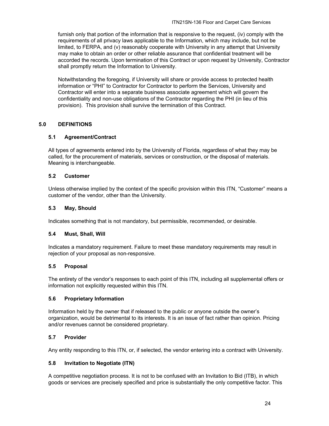furnish only that portion of the information that is responsive to the request, (iv) comply with the requirements of all privacy laws applicable to the Information, which may include, but not be limited, to FERPA, and (v) reasonably cooperate with University in any attempt that University may make to obtain an order or other reliable assurance that confidential treatment will be accorded the records. Upon termination of this Contract or upon request by University, Contractor shall promptly return the Information to University.

Notwithstanding the foregoing, if University will share or provide access to protected health information or "PHI" to Contractor for Contractor to perform the Services, University and Contractor will enter into a separate business associate agreement which will govern the confidentiality and non-use obligations of the Contractor regarding the PHI (in lieu of this provision). This provision shall survive the termination of this Contract.

#### **5.0 DEFINITIONS**

#### **5.1 Agreement/Contract**

All types of agreements entered into by the University of Florida, regardless of what they may be called, for the procurement of materials, services or construction, or the disposal of materials. Meaning is interchangeable.

#### **5.2 Customer**

Unless otherwise implied by the context of the specific provision within this ITN, "Customer" means a customer of the vendor, other than the University.

#### **5.3 May, Should**

Indicates something that is not mandatory, but permissible, recommended, or desirable.

#### **5.4 Must, Shall, Will**

Indicates a mandatory requirement. Failure to meet these mandatory requirements may result in rejection of your proposal as non-responsive.

#### **5.5 Proposal**

The entirety of the vendor's responses to each point of this ITN, including all supplemental offers or information not explicitly requested within this ITN.

#### **5.6 Proprietary Information**

Information held by the owner that if released to the public or anyone outside the owner's organization, would be detrimental to its interests. It is an issue of fact rather than opinion. Pricing and/or revenues cannot be considered proprietary.

#### **5.7 Provider**

Any entity responding to this ITN, or, if selected, the vendor entering into a contract with University.

#### **5.8 Invitation to Negotiate (ITN)**

A competitive negotiation process. It is not to be confused with an Invitation to Bid (ITB), in which goods or services are precisely specified and price is substantially the only competitive factor. This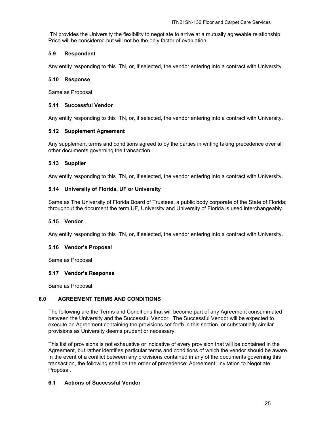ITN provides the University the flexibility to negotiate to arrive at a mutually agreeable relationship. Price will be considered but will not be the only factor of evaluation.

#### **5.9 Respondent**

Any entity responding to this ITN, or, if selected, the vendor entering into a contract with University.

#### **5.10 Response**

Same as Proposal

#### **5.11 Successful Vendor**

Any entity responding to this ITN, or, if selected, the vendor entering into a contract with University.

#### **5.12 Supplement Agreement**

Any supplement terms and conditions agreed to by the parties in writing taking precedence over all other documents governing the transaction.

#### **5.13 Supplier**

Any entity responding to this ITN, or, if selected, the vendor entering into a contract with University.

#### **5.14 University of Florida, UF or University**

Same as The University of Florida Board of Trustees, a public body corporate of the State of Florida; throughout the document the term UF, University and University of Florida is used interchangeably.

#### **5.15 Vendor**

Any entity responding to this ITN, or, if selected, the vendor entering into a contract with University.

#### **5.16 Vendor's Proposal**

Same as Proposal

#### **5.17 Vendor's Response**

Same as Proposal

#### **6.0 AGREEMENT TERMS AND CONDITIONS**

The following are the Terms and Conditions that will become part of any Agreement consummated between the University and the Successful Vendor. The Successful Vendor will be expected to execute an Agreement containing the provisions set forth in this section, or substantially similar provisions as University deems prudent or necessary.

This list of provisions is not exhaustive or indicative of every provision that will be contained in the Agreement, but rather identifies particular terms and conditions of which the vendor should be aware. In the event of a conflict between any provisions contained in any of the documents governing this transaction, the following shall be the order of precedence: Agreement; Invitation to Negotiate; Proposal.

#### **6.1 Actions of Successful Vendor**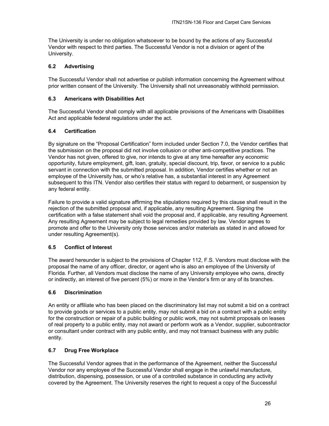The University is under no obligation whatsoever to be bound by the actions of any Successful Vendor with respect to third parties. The Successful Vendor is not a division or agent of the University.

#### **6.2 Advertising**

The Successful Vendor shall not advertise or publish information concerning the Agreement without prior written consent of the University. The University shall not unreasonably withhold permission.

#### **6.3 Americans with Disabilities Act**

The Successful Vendor shall comply with all applicable provisions of the Americans with Disabilities Act and applicable federal regulations under the act.

#### **6.4 Certification**

By signature on the "Proposal Certification" form included under Section 7.0, the Vendor certifies that the submission on the proposal did not involve collusion or other anti-competitive practices. The Vendor has not given, offered to give, nor intends to give at any time hereafter any economic opportunity, future employment, gift, loan, gratuity, special discount, trip, favor, or service to a public servant in connection with the submitted proposal. In addition, Vendor certifies whether or not an employee of the University has, or who's relative has, a substantial interest in any Agreement subsequent to this ITN. Vendor also certifies their status with regard to debarment, or suspension by any federal entity.

Failure to provide a valid signature affirming the stipulations required by this clause shall result in the rejection of the submitted proposal and, if applicable, any resulting Agreement. Signing the certification with a false statement shall void the proposal and, if applicable, any resulting Agreement. Any resulting Agreement may be subject to legal remedies provided by law. Vendor agrees to promote and offer to the University only those services and/or materials as stated in and allowed for under resulting Agreement(s).

#### **6.5 Conflict of Interest**

The award hereunder is subject to the provisions of Chapter 112, F.S. Vendors must disclose with the proposal the name of any officer, director, or agent who is also an employee of the University of Florida. Further, all Vendors must disclose the name of any University employee who owns, directly or indirectly, an interest of five percent (5%) or more in the Vendor's firm or any of its branches.

#### **6.6 Discrimination**

An entity or affiliate who has been placed on the discriminatory list may not submit a bid on a contract to provide goods or services to a public entity, may not submit a bid on a contract with a public entity for the construction or repair of a public building or public work, may not submit proposals on leases of real property to a public entity, may not award or perform work as a Vendor, supplier, subcontractor or consultant under contract with any public entity, and may not transact business with any public entity.

#### **6.7 Drug Free Workplace**

The Successful Vendor agrees that in the performance of the Agreement, neither the Successful Vendor nor any employee of the Successful Vendor shall engage in the unlawful manufacture, distribution, dispensing, possession, or use of a controlled substance in conducting any activity covered by the Agreement. The University reserves the right to request a copy of the Successful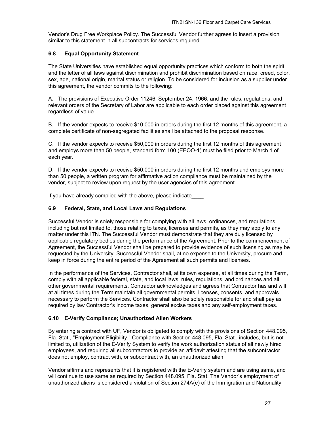Vendor's Drug Free Workplace Policy. The Successful Vendor further agrees to insert a provision similar to this statement in all subcontracts for services required.

#### **6.8 Equal Opportunity Statement**

The State Universities have established equal opportunity practices which conform to both the spirit and the letter of all laws against discrimination and prohibit discrimination based on race, creed, color, sex, age, national origin, marital status or religion. To be considered for inclusion as a supplier under this agreement, the vendor commits to the following:

A. The provisions of Executive Order 11246, September 24, 1966, and the rules, regulations, and relevant orders of the Secretary of Labor are applicable to each order placed against this agreement regardless of value.

B. If the vendor expects to receive \$10,000 in orders during the first 12 months of this agreement, a complete certificate of non-segregated facilities shall be attached to the proposal response.

C. If the vendor expects to receive \$50,000 in orders during the first 12 months of this agreement and employs more than 50 people, standard form 100 (EEOO-1) must be filed prior to March 1 of each year.

D. If the vendor expects to receive \$50,000 in orders during the first 12 months and employs more than 50 people, a written program for affirmative action compliance must be maintained by the vendor, subject to review upon request by the user agencies of this agreement.

If you have already complied with the above, please indicate

#### **6.9 Federal, State, and Local Laws and Regulations**

Successful Vendor is solely responsible for complying with all laws, ordinances, and regulations including but not limited to, those relating to taxes, licenses and permits, as they may apply to any matter under this ITN. The Successful Vendor must demonstrate that they are duly licensed by applicable regulatory bodies during the performance of the Agreement. Prior to the commencement of Agreement, the Successful Vendor shall be prepared to provide evidence of such licensing as may be requested by the University. Successful Vendor shall, at no expense to the University, procure and keep in force during the entire period of the Agreement all such permits and licenses.

In the performance of the Services, Contractor shall, at its own expense, at all times during the Term, comply with all applicable federal, state, and local laws, rules, regulations, and ordinances and all other governmental requirements. Contractor acknowledges and agrees that Contractor has and will at all times during the Term maintain all governmental permits, licenses, consents, and approvals necessary to perform the Services. Contractor shall also be solely responsible for and shall pay as required by law Contractor's income taxes, general excise taxes and any self-employment taxes.

#### **6.10 E-Verify Compliance; Unauthorized Alien Workers**

By entering a contract with UF, Vendor is obligated to comply with the provisions of Section 448.095, Fla. Stat., "Employment Eligibility." Compliance with Section 448.095, Fla. Stat., includes, but is not limited to, utilization of the E-Verify System to verify the work authorization status of all newly hired employees, and requiring all subcontractors to provide an affidavit attesting that the subcontractor does not employ, contract with, or subcontract with, an unauthorized alien.

Vendor affirms and represents that it is registered with the E-Verify system and are using same, and will continue to use same as required by Section 448.095, Fla. Stat. The Vendor's employment of unauthorized aliens is considered a violation of Section 274A(e) of the Immigration and Nationality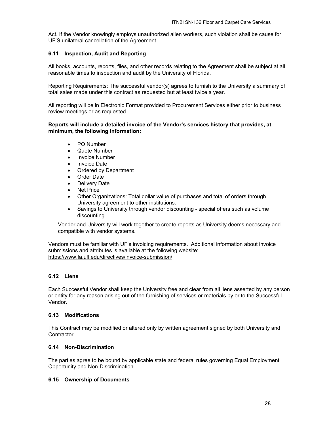Act. If the Vendor knowingly employs unauthorized alien workers, such violation shall be cause for UF'S unilateral cancellation of the Agreement.

#### **6.11 Inspection, Audit and Reporting**

All books, accounts, reports, files, and other records relating to the Agreement shall be subject at all reasonable times to inspection and audit by the University of Florida.

Reporting Requirements: The successful vendor(s) agrees to furnish to the University a summary of total sales made under this contract as requested but at least twice a year.

All reporting will be in Electronic Format provided to Procurement Services either prior to business review meetings or as requested.

#### **Reports will include a detailed invoice of the Vendor's services history that provides, at minimum, the following information:**

- PO Number
- Quote Number
- Invoice Number
- Invoice Date
- Ordered by Department
- Order Date
- Delivery Date
- Net Price
- Other Organizations: Total dollar value of purchases and total of orders through University agreement to other institutions.
- Savings to University through vendor discounting special offers such as volume discounting

Vendor and University will work together to create reports as University deems necessary and compatible with vendor systems.

Vendors must be familiar with UF's invoicing requirements. Additional information about invoice submissions and attributes is available at the following website: https://www.fa.ufl.edu/directives/invoice-submission/

#### **6.12 Liens**

Each Successful Vendor shall keep the University free and clear from all liens asserted by any person or entity for any reason arising out of the furnishing of services or materials by or to the Successful Vendor.

#### **6.13 Modifications**

This Contract may be modified or altered only by written agreement signed by both University and Contractor.

#### **6.14 Non-Discrimination**

The parties agree to be bound by applicable state and federal rules governing Equal Employment Opportunity and Non-Discrimination.

#### **6.15 Ownership of Documents**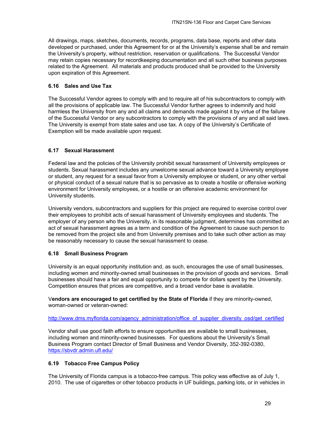All drawings, maps, sketches, documents, records, programs, data base, reports and other data developed or purchased, under this Agreement for or at the University's expense shall be and remain the University's property, without restriction, reservation or qualifications. The Successful Vendor may retain copies necessary for recordkeeping documentation and all such other business purposes related to the Agreement. All materials and products produced shall be provided to the University upon expiration of this Agreement.

#### **6.16 Sales and Use Tax**

The Successful Vendor agrees to comply with and to require all of his subcontractors to comply with all the provisions of applicable law. The Successful Vendor further agrees to indemnify and hold harmless the University from any and all claims and demands made against it by virtue of the failure of the Successful Vendor or any subcontractors to comply with the provisions of any and all said laws. The University is exempt from state sales and use tax. A copy of the University's Certificate of Exemption will be made available upon request.

#### **6.17 Sexual Harassment**

Federal law and the policies of the University prohibit sexual harassment of University employees or students. Sexual harassment includes any unwelcome sexual advance toward a University employee or student, any request for a sexual favor from a University employee or student, or any other verbal or physical conduct of a sexual nature that is so pervasive as to create a hostile or offensive working environment for University employees, or a hostile or an offensive academic environment for University students.

University vendors, subcontractors and suppliers for this project are required to exercise control over their employees to prohibit acts of sexual harassment of University employees and students. The employer of any person who the University, in its reasonable judgment, determines has committed an act of sexual harassment agrees as a term and condition of the Agreement to cause such person to be removed from the project site and from University premises and to take such other action as may be reasonably necessary to cause the sexual harassment to cease.

#### **6.18 Small Business Program**

University is an equal opportunity institution and, as such, encourages the use of small businesses, including women and minority-owned small businesses in the provision of goods and services. Small businesses should have a fair and equal opportunity to compete for dollars spent by the University. Competition ensures that prices are competitive, and a broad vendor base is available.

V**endors are encouraged to get certified by the State of Florida** if they are minority-owned, woman-owned or veteran-owned:

#### http://www.dms.myflorida.com/agency\_administration/office\_of\_supplier\_diversity\_osd/get\_certified

Vendor shall use good faith efforts to ensure opportunities are available to small businesses, including women and minority-owned businesses. For questions about the University's Small Business Program contact Director of Small Business and Vendor Diversity, 352-392-0380, https://sbvdr.admin.ufl.edu/

#### **6.19 Tobacco Free Campus Policy**

The University of Florida campus is a tobacco-free campus. This policy was effective as of July 1, 2010. The use of cigarettes or other tobacco products in UF buildings, parking lots, or in vehicles in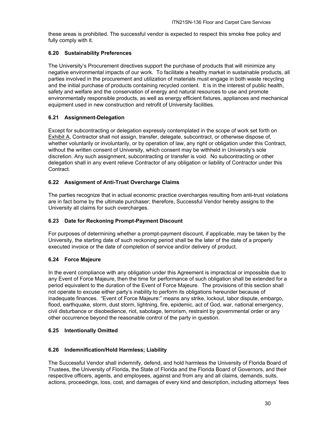these areas is prohibited. The successful vendor is expected to respect this smoke free policy and fully comply with it.

#### **6.20 Sustainability Preferences**

The University's Procurement directives support the purchase of products that will minimize any negative environmental impacts of our work. To facilitate a healthy market in sustainable products, all parties involved in the procurement and utilization of materials must engage in both waste recycling and the initial purchase of products containing recycled content. It is in the interest of public health, safety and welfare and the conservation of energy and natural resources to use and promote environmentally responsible products, as well as energy efficient fixtures, appliances and mechanical equipment used in new construction and retrofit of University facilities.

#### **6.21 Assignment-Delegation**

Except for subcontracting or delegation expressly contemplated in the scope of work set forth on Exhibit A, Contractor shall not assign, transfer, delegate, subcontract, or otherwise dispose of, whether voluntarily or involuntarily, or by operation of law, any right or obligation under this Contract, without the written consent of University, which consent may be withheld in University's sole discretion. Any such assignment, subcontracting or transfer is void. No subcontracting or other delegation shall in any event relieve Contractor of any obligation or liability of Contractor under this Contract.

#### **6.22 Assignment of Anti-Trust Overcharge Claims**

The parties recognize that in actual economic practice overcharges resulting from anti-trust violations are in fact borne by the ultimate purchaser; therefore, Successful Vendor hereby assigns to the University all claims for such overcharges.

#### **6.23 Date for Reckoning Prompt-Payment Discount**

For purposes of determining whether a prompt-payment discount, if applicable, may be taken by the University, the starting date of such reckoning period shall be the later of the date of a properly executed invoice or the date of completion of service and/or delivery of product.

#### **6.24 Force Majeure**

In the event compliance with any obligation under this Agreement is impractical or impossible due to any Event of Force Majeure, then the time for performance of such obligation shall be extended for a period equivalent to the duration of the Event of Force Majeure. The provisions of this section shall not operate to excuse either party's inability to perform its obligations hereunder because of inadequate finances. "Event of Force Majeure:" means any strike, lockout, labor dispute, embargo, flood, earthquake, storm, dust storm, lightning, fire, epidemic, act of God, war, national emergency, civil disturbance or disobedience, riot, sabotage, terrorism, restraint by governmental order or any other occurrence beyond the reasonable control of the party in question.

#### **6.25 Intentionally Omitted**

#### **6.26 Indemnification/Hold Harmless; Liability**

The Successful Vendor shall indemnify, defend, and hold harmless the University of Florida Board of Trustees, the University of Florida, the State of Florida and the Florida Board of Governors, and their respective officers, agents, and employees, against and from any and all claims, demands, suits, actions, proceedings, loss, cost, and damages of every kind and description, including attorneys' fees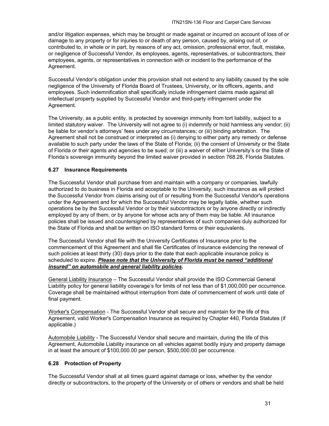and/or litigation expenses, which may be brought or made against or incurred on account of loss of or damage to any property or for injuries to or death of any person, caused by, arising out of, or contributed to, in whole or in part, by reasons of any act, omission, professional error, fault, mistake, or negligence of Successful Vendor, its employees, agents, representatives, or subcontractors, their employees, agents, or representatives in connection with or incident to the performance of the Agreement.

Successful Vendor's obligation under this provision shall not extend to any liability caused by the sole negligence of the University of Florida Board of Trustees, University, or its officers, agents, and employees. Such indemnification shall specifically include infringement claims made against all intellectual property supplied by Successful Vendor and third-party infringement under the Agreement.

The University, as a public entity, is protected by sovereign immunity from tort liability, subject to a limited statutory waiver. The University will not agree to (i) indemnify or hold harmless any vendor; (ii) be liable for vendor's attorneys' fees under any circumstances; or (iii) binding arbitration. The Agreement shall not be construed or interpreted as (i) denying to either party any remedy or defense available to such party under the laws of the State of Florida; (ii) the consent of University or the State of Florida or their agents and agencies to be sued; or (iii) a waiver of either University's or the State of Florida's sovereign immunity beyond the limited waiver provided in section 768.28, Florida Statutes.

#### **6.27 Insurance Requirements**

The Successful Vendor shall purchase from and maintain with a company or companies, lawfully authorized to do business in Florida and acceptable to the University, such insurance as will protect the Successful Vendor from claims arising out of or resulting from the Successful Vendor's operations under the Agreement and for which the Successful Vendor may be legally liable, whether such operations be by the Successful Vendor or by their subcontractors or by anyone directly or indirectly employed by any of them, or by anyone for whose acts any of them may be liable. All insurance policies shall be issued and countersigned by representatives of such companies duly authorized for the State of Florida and shall be written on ISO standard forms or their equivalents.

The Successful Vendor shall file with the University Certificates of Insurance prior to the commencement of this Agreement and shall file Certificates of Insurance evidencing the renewal of such policies at least thirty (30) days prior to the date that each applicable insurance policy is scheduled to expire. *Please note that the University of Florida must be named "additional insured" on automobile and general liability policies.*

General Liability Insurance – The Successful Vendor shall provide the ISO Commercial General Liability policy for general liability coverage's for limits of not less than of \$1,000,000 per occurrence. Coverage shall be maintained without interruption from date of commencement of work until date of final payment.

Worker's Compensation - The Successful Vendor shall secure and maintain for the life of this Agreement, valid Worker's Compensation Insurance as required by Chapter 440, Florida Statutes (if applicable.)

Automobile Liability - The Successful Vendor shall secure and maintain, during the life of this Agreement, Automobile Liability insurance on all vehicles against bodily injury and property damage in at least the amount of \$100,000.00 per person, \$500,000.00 per occurrence.

#### **6.28 Protection of Property**

The Successful Vendor shall at all times guard against damage or loss, whether by the vendor directly or subcontractors, to the property of the University or of others or vendors and shall be held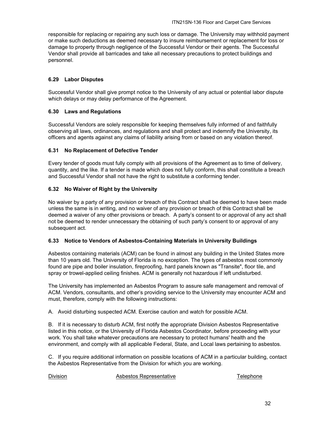responsible for replacing or repairing any such loss or damage. The University may withhold payment or make such deductions as deemed necessary to insure reimbursement or replacement for loss or damage to property through negligence of the Successful Vendor or their agents. The Successful Vendor shall provide all barricades and take all necessary precautions to protect buildings and personnel.

#### **6.29 Labor Disputes**

Successful Vendor shall give prompt notice to the University of any actual or potential labor dispute which delays or may delay performance of the Agreement.

#### **6.30 Laws and Regulations**

Successful Vendors are solely responsible for keeping themselves fully informed of and faithfully observing all laws, ordinances, and regulations and shall protect and indemnify the University, its officers and agents against any claims of liability arising from or based on any violation thereof.

#### **6.31 No Replacement of Defective Tender**

Every tender of goods must fully comply with all provisions of the Agreement as to time of delivery, quantity, and the like. If a tender is made which does not fully conform, this shall constitute a breach and Successful Vendor shall not have the right to substitute a conforming tender.

#### **6.32 No Waiver of Right by the University**

No waiver by a party of any provision or breach of this Contract shall be deemed to have been made unless the same is in writing, and no waiver of any provision or breach of this Contract shall be deemed a waiver of any other provisions or breach. A party's consent to or approval of any act shall not be deemed to render unnecessary the obtaining of such party's consent to or approval of any subsequent act.

#### **6.33 Notice to Vendors of Asbestos-Containing Materials in University Buildings**

Asbestos containing materials (ACM) can be found in almost any building in the United States more than 10 years old. The University of Florida is no exception. The types of asbestos most commonly found are pipe and boiler insulation, fireproofing, hard panels known as "Transite", floor tile, and spray or trowel-applied ceiling finishes. ACM is generally not hazardous if left undisturbed.

The University has implemented an Asbestos Program to assure safe management and removal of ACM. Vendors, consultants, and other's providing service to the University may encounter ACM and must, therefore, comply with the following instructions:

A. Avoid disturbing suspected ACM. Exercise caution and watch for possible ACM.

B. If it is necessary to disturb ACM, first notify the appropriate Division Asbestos Representative listed in this notice, or the University of Florida Asbestos Coordinator, before proceeding with your work. You shall take whatever precautions are necessary to protect humans' health and the environment, and comply with all applicable Federal, State, and Local laws pertaining to asbestos.

C. If you require additional information on possible locations of ACM in a particular building, contact the Asbestos Representative from the Division for which you are working.

Division Asbestos Representative Telephone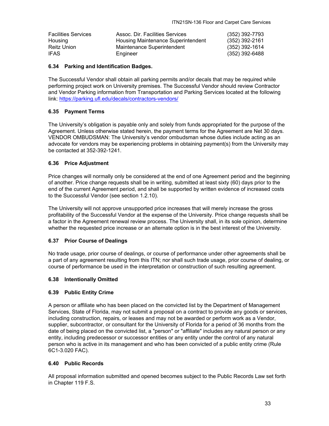| <b>Facilities Services</b> | Assoc. Dir. Facilities Services    | (352) 392-7793   |
|----------------------------|------------------------------------|------------------|
| Housing                    | Housing Maintenance Superintendent | (352) 392-2161   |
| Reitz Union                | Maintenance Superintendent         | $(352)$ 392-1614 |
| <b>IFAS</b>                | Engineer                           | (352) 392-6488   |

#### **6.34 Parking and Identification Badges.**

The Successful Vendor shall obtain all parking permits and/or decals that may be required while performing project work on University premises. The Successful Vendor should review Contractor and Vendor Parking information from Transportation and Parking Services located at the following link: https://parking.ufl.edu/decals/contractors-vendors/

#### **6.35 Payment Terms**

The University's obligation is payable only and solely from funds appropriated for the purpose of the Agreement. Unless otherwise stated herein, the payment terms for the Agreement are Net 30 days. VENDOR OMBUDSMAN: The University's vendor ombudsman whose duties include acting as an advocate for vendors may be experiencing problems in obtaining payment(s) from the University may be contacted at 352-392-1241.

#### **6.36 Price Adjustment**

Price changes will normally only be considered at the end of one Agreement period and the beginning of another. Price change requests shall be in writing, submitted at least sixty (60) days prior to the end of the current Agreement period, and shall be supported by written evidence of increased costs to the Successful Vendor (see section 1.2.10).

The University will not approve unsupported price increases that will merely increase the gross profitability of the Successful Vendor at the expense of the University. Price change requests shall be a factor in the Agreement renewal review process. The University shall, in its sole opinion, determine whether the requested price increase or an alternate option is in the best interest of the University.

#### **6.37 Prior Course of Dealings**

No trade usage, prior course of dealings, or course of performance under other agreements shall be a part of any agreement resulting from this ITN; nor shall such trade usage, prior course of dealing, or course of performance be used in the interpretation or construction of such resulting agreement.

#### **6.38 Intentionally Omitted**

#### **6.39 Public Entity Crime**

A person or affiliate who has been placed on the convicted list by the Department of Management Services, State of Florida, may not submit a proposal on a contract to provide any goods or services, including construction, repairs, or leases and may not be awarded or perform work as a Vendor, supplier, subcontractor, or consultant for the University of Florida for a period of 36 months from the date of being placed on the convicted list, a "person" or "affiliate" includes any natural person or any entity, including predecessor or successor entities or any entity under the control of any natural person who is active in its management and who has been convicted of a public entity crime (Rule 6C1-3.020 FAC).

#### **6.40 Public Records**

All proposal information submitted and opened becomes subject to the Public Records Law set forth in Chapter 119 F.S.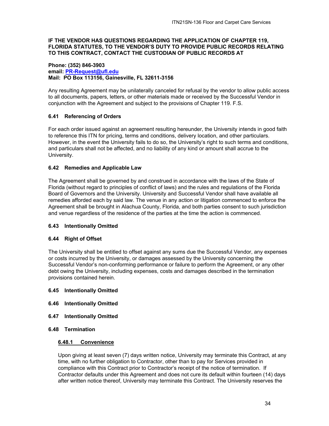#### **IF THE VENDOR HAS QUESTIONS REGARDING THE APPLICATION OF CHAPTER 119, FLORIDA STATUTES, TO THE VENDOR'S DUTY TO PROVIDE PUBLIC RECORDS RELATING TO THIS CONTRACT, CONTACT THE CUSTODIAN OF PUBLIC RECORDS AT**

#### **Phone: (352) 846-3903 email: PR-Request@ufl.edu Mail: PO Box 113156, Gainesville, FL 32611-3156**

Any resulting Agreement may be unilaterally canceled for refusal by the vendor to allow public access to all documents, papers, letters, or other materials made or received by the Successful Vendor in conjunction with the Agreement and subject to the provisions of Chapter 119. F.S.

#### **6.41 Referencing of Orders**

For each order issued against an agreement resulting hereunder, the University intends in good faith to reference this ITN for pricing, terms and conditions, delivery location, and other particulars. However, in the event the University fails to do so, the University's right to such terms and conditions, and particulars shall not be affected, and no liability of any kind or amount shall accrue to the University.

#### **6.42 Remedies and Applicable Law**

The Agreement shall be governed by and construed in accordance with the laws of the State of Florida (without regard to principles of conflict of laws) and the rules and regulations of the Florida Board of Governors and the University. University and Successful Vendor shall have available all remedies afforded each by said law. The venue in any action or litigation commenced to enforce the Agreement shall be brought in Alachua County, Florida, and both parties consent to such jurisdiction and venue regardless of the residence of the parties at the time the action is commenced.

#### **6.43 Intentionally Omitted**

#### **6.44 Right of Offset**

The University shall be entitled to offset against any sums due the Successful Vendor, any expenses or costs incurred by the University, or damages assessed by the University concerning the Successful Vendor's non-conforming performance or failure to perform the Agreement, or any other debt owing the University, including expenses, costs and damages described in the termination provisions contained herein.

#### **6.45 Intentionally Omitted**

- **6.46 Intentionally Omitted**
- **6.47 Intentionally Omitted**
- **6.48 Termination**

#### **6.48.1 Convenience**

Upon giving at least seven (7) days written notice, University may terminate this Contract, at any time, with no further obligation to Contractor, other than to pay for Services provided in compliance with this Contract prior to Contractor's receipt of the notice of termination. If Contractor defaults under this Agreement and does not cure its default within fourteen (14) days after written notice thereof, University may terminate this Contract. The University reserves the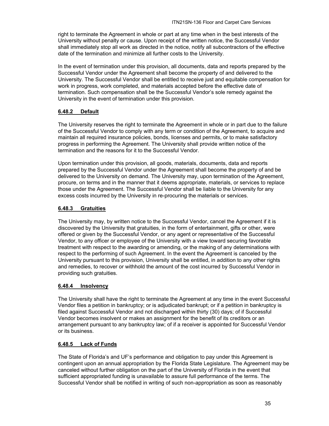right to terminate the Agreement in whole or part at any time when in the best interests of the University without penalty or cause. Upon receipt of the written notice, the Successful Vendor shall immediately stop all work as directed in the notice, notify all subcontractors of the effective date of the termination and minimize all further costs to the University.

In the event of termination under this provision, all documents, data and reports prepared by the Successful Vendor under the Agreement shall become the property of and delivered to the University. The Successful Vendor shall be entitled to receive just and equitable compensation for work in progress, work completed, and materials accepted before the effective date of termination. Such compensation shall be the Successful Vendor's sole remedy against the University in the event of termination under this provision.

#### **6.48.2 Default**

The University reserves the right to terminate the Agreement in whole or in part due to the failure of the Successful Vendor to comply with any term or condition of the Agreement, to acquire and maintain all required insurance policies, bonds, licenses and permits, or to make satisfactory progress in performing the Agreement. The University shall provide written notice of the termination and the reasons for it to the Successful Vendor.

Upon termination under this provision, all goods, materials, documents, data and reports prepared by the Successful Vendor under the Agreement shall become the property of and be delivered to the University on demand. The University may, upon termination of the Agreement, procure, on terms and in the manner that it deems appropriate, materials, or services to replace those under the Agreement. The Successful Vendor shall be liable to the University for any excess costs incurred by the University in re-procuring the materials or services.

#### **6.48.3 Gratuities**

The University may, by written notice to the Successful Vendor, cancel the Agreement if it is discovered by the University that gratuities, in the form of entertainment, gifts or other, were offered or given by the Successful Vendor, or any agent or representative of the Successful Vendor, to any officer or employee of the University with a view toward securing favorable treatment with respect to the awarding or amending, or the making of any determinations with respect to the performing of such Agreement. In the event the Agreement is canceled by the University pursuant to this provision, University shall be entitled, in addition to any other rights and remedies, to recover or withhold the amount of the cost incurred by Successful Vendor in providing such gratuities.

#### **6.48.4 Insolvency**

The University shall have the right to terminate the Agreement at any time in the event Successful Vendor files a petition in bankruptcy; or is adjudicated bankrupt; or if a petition in bankruptcy is filed against Successful Vendor and not discharged within thirty (30) days; of if Successful Vendor becomes insolvent or makes an assignment for the benefit of its creditors or an arrangement pursuant to any bankruptcy law; of if a receiver is appointed for Successful Vendor or its business.

#### **6.48.5 Lack of Funds**

The State of Florida's and UF's performance and obligation to pay under this Agreement is contingent upon an annual appropriation by the Florida State Legislature. The Agreement may be canceled without further obligation on the part of the University of Florida in the event that sufficient appropriated funding is unavailable to assure full performance of the terms. The Successful Vendor shall be notified in writing of such non-appropriation as soon as reasonably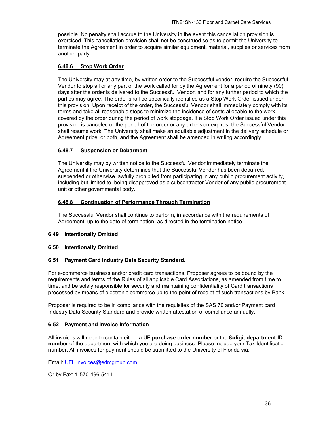possible. No penalty shall accrue to the University in the event this cancellation provision is exercised. This cancellation provision shall not be construed so as to permit the University to terminate the Agreement in order to acquire similar equipment, material, supplies or services from another party.

#### **6.48.6 Stop Work Order**

The University may at any time, by written order to the Successful vendor, require the Successful Vendor to stop all or any part of the work called for by the Agreement for a period of ninety (90) days after the order is delivered to the Successful Vendor, and for any further period to which the parties may agree. The order shall be specifically identified as a Stop Work Order issued under this provision. Upon receipt of the order, the Successful Vendor shall immediately comply with its terms and take all reasonable steps to minimize the incidence of costs allocable to the work covered by the order during the period of work stoppage. If a Stop Work Order issued under this provision is canceled or the period of the order or any extension expires, the Successful Vendor shall resume work. The University shall make an equitable adjustment in the delivery schedule or Agreement price, or both, and the Agreement shall be amended in writing accordingly.

#### **6.48.7 Suspension or Debarment**

The University may by written notice to the Successful Vendor immediately terminate the Agreement if the University determines that the Successful Vendor has been debarred, suspended or otherwise lawfully prohibited from participating in any public procurement activity, including but limited to, being disapproved as a subcontractor Vendor of any public procurement unit or other governmental body.

#### **6.48.8 Continuation of Performance Through Termination**

The Successful Vendor shall continue to perform, in accordance with the requirements of Agreement, up to the date of termination, as directed in the termination notice.

#### **6.49 Intentionally Omitted**

#### **6.50 Intentionally Omitted**

#### **6.51 Payment Card Industry Data Security Standard.**

For e-commerce business and/or credit card transactions, Proposer agrees to be bound by the requirements and terms of the Rules of all applicable Card Associations, as amended from time to time, and be solely responsible for security and maintaining confidentiality of Card transactions processed by means of electronic commerce up to the point of receipt of such transactions by Bank.

Proposer is required to be in compliance with the requisites of the SAS 70 and/or Payment card Industry Data Security Standard and provide written attestation of compliance annually.

#### **6.52 Payment and Invoice Information**

All invoices will need to contain either a **UF purchase order number** or the **8-digit department ID number** of the department with which you are doing business. Please include your Tax Identification number. All invoices for payment should be submitted to the University of Florida via:

Email: UFL.invoices@edmgroup.com

Or by Fax: 1-570-496-5411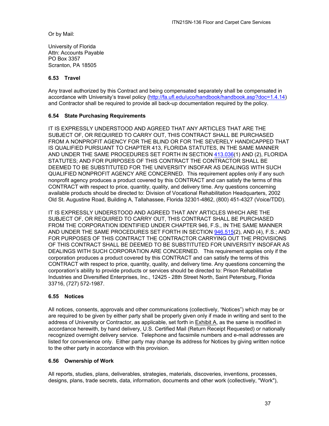Or by Mail:

University of Florida Attn: Accounts Payable PO Box 3357 Scranton, PA 18505

#### **6.53 Travel**

Any travel authorized by this Contract and being compensated separately shall be compensated in accordance with University's travel policy (http://fa.ufl.edu/uco/handbook/handbook.asp?doc=1.4.14) and Contractor shall be required to provide all back-up documentation required by the policy.

#### **6.54 State Purchasing Requirements**

IT IS EXPRESSLY UNDERSTOOD AND AGREED THAT ANY ARTICLES THAT ARE THE SUBJECT OF, OR REQUIRED TO CARRY OUT, THIS CONTRACT SHALL BE PURCHASED FROM A NONPROFIT AGENCY FOR THE BLIND OR FOR THE SEVERELY HANDICAPPED THAT IS QUALIFIED PURSUANT TO CHAPTER 413, FLORIDA STATUTES, IN THE SAME MANNER AND UNDER THE SAME PROCEDURES SET FORTH IN SECTION 413.036(1) AND (2), FLORIDA STATUTES; AND FOR PURPOSES OF THIS CONTRACT THE CONTRACTOR SHALL BE DEEMED TO BE SUBSTITUTED FOR THE UNIVERSITY INSOFAR AS DEALINGS WITH SUCH QUALIFIED NONPROFIT AGENCY ARE CONCERNED. This requirement applies only if any such nonprofit agency produces a product covered by this CONTRACT and can satisfy the terms of this CONTRACT with respect to price, quantity, quality, and delivery time. Any questions concerning available products should be directed to: Division of Vocational Rehabilitation Headquarters, 2002 Old St. Augustine Road, Building A, Tallahassee, Florida 32301-4862, (800) 451-4327 (Voice/TDD).

IT IS EXPRESSLY UNDERSTOOD AND AGREED THAT ANY ARTICLES WHICH ARE THE SUBJECT OF, OR REQUIRED TO CARRY OUT, THIS CONTRACT SHALL BE PURCHASED FROM THE CORPORATION IDENTIFIED UNDER CHAPTER 946, F.S., IN THE SAME MANNER AND UNDER THE SAME PROCEDURES SET FORTH IN SECTION 946.515(2), AND (4), F.S.; AND FOR PURPOSES OF THIS CONTRACT THE CONTRACTOR CARRYING OUT THE PROVISIONS OF THIS CONTRACT SHALL BE DEEMED TO BE SUBSTITUTED FOR UNIVERSITY INSOFAR AS DEALINGS WITH SUCH CORPORATION ARE CONCERNED. This requirement applies only if the corporation produces a product covered by this CONTRACT and can satisfy the terms of this CONTRACT with respect to price, quantity, quality, and delivery time. Any questions concerning the corporation's ability to provide products or services should be directed to: Prison Rehabilitative Industries and Diversified Enterprises, Inc., 12425 - 28th Street North, Saint Petersburg, Florida 33716, (727) 572-1987.

#### **6.55 Notices**

All notices, consents, approvals and other communications (collectively, "Notices") which may be or are required to be given by either party shall be properly given only if made in writing and sent to the address of University or Contractor, as applicable, set forth in Exhibit A, as the same is modified in accordance herewith, by hand delivery, U.S. Certified Mail (Return Receipt Requested) or nationally recognized overnight delivery service. Telephone and facsimile numbers and e-mail addresses are listed for convenience only. Either party may change its address for Notices by giving written notice to the other party in accordance with this provision.

#### **6.56 Ownership of Work**

All reports, studies, plans, deliverables, strategies, materials, discoveries, inventions, processes, designs, plans, trade secrets, data, information, documents and other work (collectively, "Work"),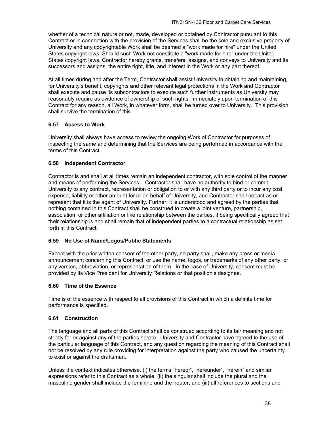whether of a technical nature or not, made, developed or obtained by Contractor pursuant to this Contract or in connection with the provision of the Services shall be the sole and exclusive property of University and any copyrightable Work shall be deemed a "work made for hire" under the United States copyright laws. Should such Work not constitute a "work made for hire" under the United States copyright laws, Contractor hereby grants, transfers, assigns, and conveys to University and its successors and assigns, the entire right, title, and interest in the Work or any part thereof.

At all times during and after the Term, Contractor shall assist University in obtaining and maintaining, for University's benefit, copyrights and other relevant legal protections in the Work and Contractor shall execute and cause its subcontractors to execute such further instruments as University may reasonably require as evidence of ownership of such rights. Immediately upon termination of this Contract for any reason, all Work, in whatever form, shall be turned over to University. This provision shall survive the termination of this

#### **6.57 Access to Work**

University shall always have access to review the ongoing Work of Contractor for purposes of inspecting the same and determining that the Services are being performed in accordance with the terms of this Contract.

#### **6.58 Independent Contractor**

Contractor is and shall at all times remain an independent contractor, with sole control of the manner and means of performing the Services. Contractor shall have no authority to bind or commit University to any contract, representation or obligation to or with any third party or to incur any cost, expense, liability or other amount for or on behalf of University, and Contractor shall not act as or represent that it is the agent of University. Further, it is understood and agreed by the parties that nothing contained in this Contract shall be construed to create a joint venture, partnership, association, or other affiliation or like relationship between the parties, it being specifically agreed that their relationship is and shall remain that of independent parties to a contractual relationship as set forth in this Contract.

#### **6.59 No Use of Name/Logos/Public Statements**

Except with the prior written consent of the other party, no party shall, make any press or media announcement concerning this Contract, or use the name, logos, or trademarks of any other party, or any version, abbreviation, or representation of them. In the case of University, consent must be provided by its Vice President for University Relations or that position's designee.

#### **6.60 Time of the Essence**

Time is of the essence with respect to all provisions of this Contract in which a definite time for performance is specified.

#### **6.61 Construction**

The language and all parts of this Contract shall be construed according to its fair meaning and not strictly for or against any of the parties hereto. University and Contractor have agreed to the use of the particular language of this Contract, and any question regarding the meaning of this Contract shall not be resolved by any rule providing for interpretation against the party who caused the uncertainty to exist or against the draftsman.

Unless the context indicates otherwise, (i) the terms "hereof", "hereunder", "herein" and similar expressions refer to this Contract as a whole, (ii) the singular shall include the plural and the masculine gender shall include the feminine and the neuter, and (iii) all references to sections and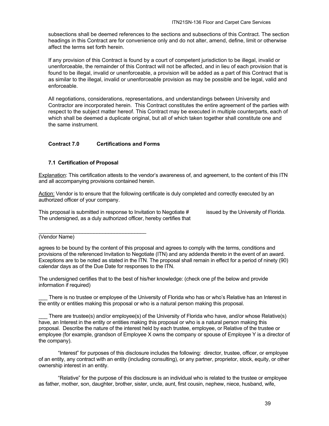subsections shall be deemed references to the sections and subsections of this Contract. The section headings in this Contract are for convenience only and do not alter, amend, define, limit or otherwise affect the terms set forth herein.

If any provision of this Contract is found by a court of competent jurisdiction to be illegal, invalid or unenforceable, the remainder of this Contract will not be affected, and in lieu of each provision that is found to be illegal, invalid or unenforceable, a provision will be added as a part of this Contract that is as similar to the illegal, invalid or unenforceable provision as may be possible and be legal, valid and enforceable.

All negotiations, considerations, representations, and understandings between University and Contractor are incorporated herein. This Contract constitutes the entire agreement of the parties with respect to the subject matter hereof. This Contract may be executed in multiple counterparts, each of which shall be deemed a duplicate original, but all of which taken together shall constitute one and the same instrument.

#### **Contract 7.0 Certifications and Forms**

#### **7.1 Certification of Proposal**

Explanation: This certification attests to the vendor's awareness of, and agreement, to the content of this ITN and all accompanying provisions contained herein.

Action: Vendor is to ensure that the following certificate is duly completed and correctly executed by an authorized officer of your company.

This proposal is submitted in response to Invitation to Negotiate # issued by the University of Florida. The undersigned, as a duly authorized officer, hereby certifies that

(Vendor Name)

agrees to be bound by the content of this proposal and agrees to comply with the terms, conditions and provisions of the referenced Invitation to Negotiate (ITN) and any addenda thereto in the event of an award. Exceptions are to be noted as stated in the ITN. The proposal shall remain in effect for a period of ninety (90) calendar days as of the Due Date for responses to the ITN.

The undersigned certifies that to the best of his/her knowledge: (check one pf the below and provide information if required)

There is no trustee or employee of the University of Florida who has or who's Relative has an Interest in the entity or entities making this proposal or who is a natural person making this proposal.

There are trustee(s) and/or employee(s) of the University of Florida who have, and/or whose Relative(s) have, an Interest in the entity or entities making this proposal or who is a natural person making this proposal. Describe the nature of the interest held by each trustee, employee, or Relative of the trustee or employee (for example, grandson of Employee X owns the company or spouse of Employee Y is a director of the company).

"Interest" for purposes of this disclosure includes the following: director, trustee, officer, or employee of an entity, any contract with an entity (including consulting), or any partner, proprietor, stock, equity, or other ownership interest in an entity.

"Relative" for the purpose of this disclosure is an individual who is related to the trustee or employee as father, mother, son, daughter, brother, sister, uncle, aunt, first cousin, nephew, niece, husband, wife,